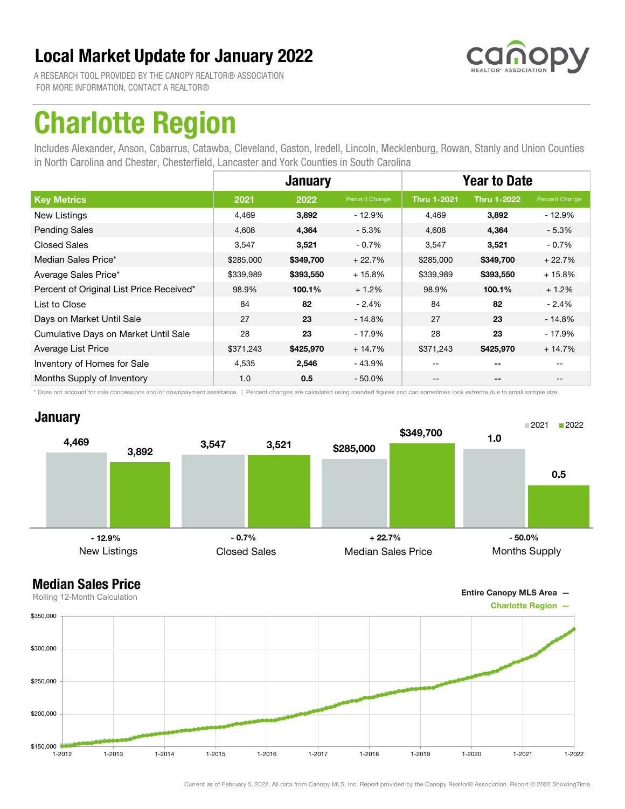

A RESEARCH TOOL PROVIDED BY THE CANOPY REALTOR® ASSOCIATION FOR MORE INFORMATION, CONTACT A REALTOR®

## Charlotte Region

Includes Alexander, Anson, Cabarrus, Catawba, Cleveland, Gaston, Iredell, Lincoln, Mecklenburg, Rowan, Stanly and Union Counties in North Carolina and Chester, Chesterfield, Lancaster and York Counties in South Carolina

|                                          |           | <b>January</b> |                | <b>Year to Date</b> |                          |                |
|------------------------------------------|-----------|----------------|----------------|---------------------|--------------------------|----------------|
| <b>Key Metrics</b>                       | 2021      | 2022           | Percent Change | <b>Thru 1-2021</b>  | <b>Thru 1-2022</b>       | Percent Change |
| New Listings                             | 4,469     | 3,892          | $-12.9%$       | 4,469               | 3,892                    | - 12.9%        |
| <b>Pending Sales</b>                     | 4,608     | 4,364          | $-5.3%$        | 4,608               | 4,364                    | $-5.3%$        |
| <b>Closed Sales</b>                      | 3,547     | 3,521          | $-0.7%$        | 3,547               | 3,521                    | - 0.7%         |
| Median Sales Price*                      | \$285,000 | \$349,700      | $+22.7%$       | \$285,000           | \$349,700                | $+22.7%$       |
| Average Sales Price*                     | \$339,989 | \$393,550      | $+15.8%$       | \$339,989           | \$393,550                | $+15.8%$       |
| Percent of Original List Price Received* | 98.9%     | 100.1%         | $+1.2%$        | 98.9%               | 100.1%                   | $+1.2%$        |
| List to Close                            | 84        | 82             | $-2.4%$        | 84                  | 82                       | $-2.4%$        |
| Days on Market Until Sale                | 27        | 23             | $-14.8%$       | 27                  | 23                       | - 14.8%        |
| Cumulative Days on Market Until Sale     | 28        | 23             | $-17.9%$       | 28                  | 23                       | - 17.9%        |
| Average List Price                       | \$371,243 | \$425,970      | $+14.7%$       | \$371,243           | \$425,970                | $+14.7%$       |
| Inventory of Homes for Sale              | 4,535     | 2,546          | $-43.9%$       |                     | $- -$                    |                |
| Months Supply of Inventory               | 1.0       | 0.5            | $-50.0\%$      | --                  | $\overline{\phantom{a}}$ | $- -$          |

\* Does not account for sale concessions and/or downpayment assistance. | Percent changes are calculated using rounded figures and can sometimes look extreme due to small sample size.

### **January**



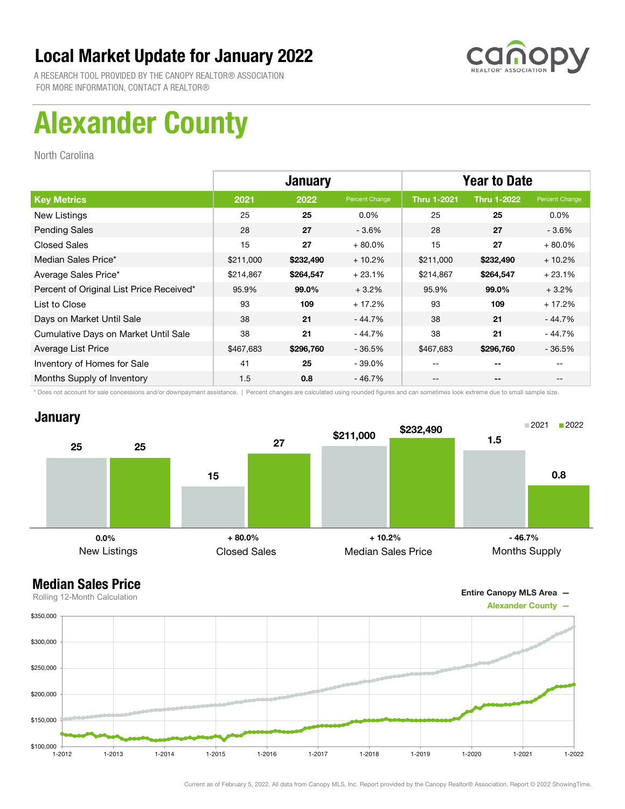

A RESEARCH TOOL PROVIDED BY THE CANOPY REALTOR® ASSOCIATION FOR MORE INFORMATION, CONTACT A REALTOR®

# Alexander County

North Carolina

|                                          | <b>January</b> |           |                | <b>Year to Date</b> |                    |                |
|------------------------------------------|----------------|-----------|----------------|---------------------|--------------------|----------------|
| <b>Key Metrics</b>                       | 2021           | 2022      | Percent Change | <b>Thru 1-2021</b>  | <b>Thru 1-2022</b> | Percent Change |
| New Listings                             | 25             | 25        | $0.0\%$        | 25                  | 25                 | $0.0\%$        |
| <b>Pending Sales</b>                     | 28             | 27        | $-3.6%$        | 28                  | 27                 | $-3.6\%$       |
| <b>Closed Sales</b>                      | 15             | 27        | $+80.0%$       | 15                  | 27                 | $+80.0\%$      |
| Median Sales Price*                      | \$211,000      | \$232,490 | $+10.2%$       | \$211,000           | \$232,490          | $+10.2%$       |
| Average Sales Price*                     | \$214,867      | \$264,547 | $+23.1%$       | \$214,867           | \$264,547          | $+23.1%$       |
| Percent of Original List Price Received* | 95.9%          | 99.0%     | $+3.2%$        | 95.9%               | 99.0%              | $+3.2%$        |
| List to Close                            | 93             | 109       | $+17.2%$       | 93                  | 109                | $+17.2%$       |
| Days on Market Until Sale                | 38             | 21        | - 44.7%        | 38                  | 21                 | - 44.7%        |
| Cumulative Days on Market Until Sale     | 38             | 21        | $-44.7%$       | 38                  | 21                 | - 44.7%        |
| Average List Price                       | \$467,683      | \$296,760 | $-36.5%$       | \$467,683           | \$296,760          | $-36.5%$       |
| Inventory of Homes for Sale              | 41             | 25        | $-39.0\%$      | --                  | --                 |                |
| Months Supply of Inventory               | 1.5            | 0.8       | $-46.7%$       | --                  | --                 |                |

\* Does not account for sale concessions and/or downpayment assistance. | Percent changes are calculated using rounded figures and can sometimes look extreme due to small sample size.

### **January**





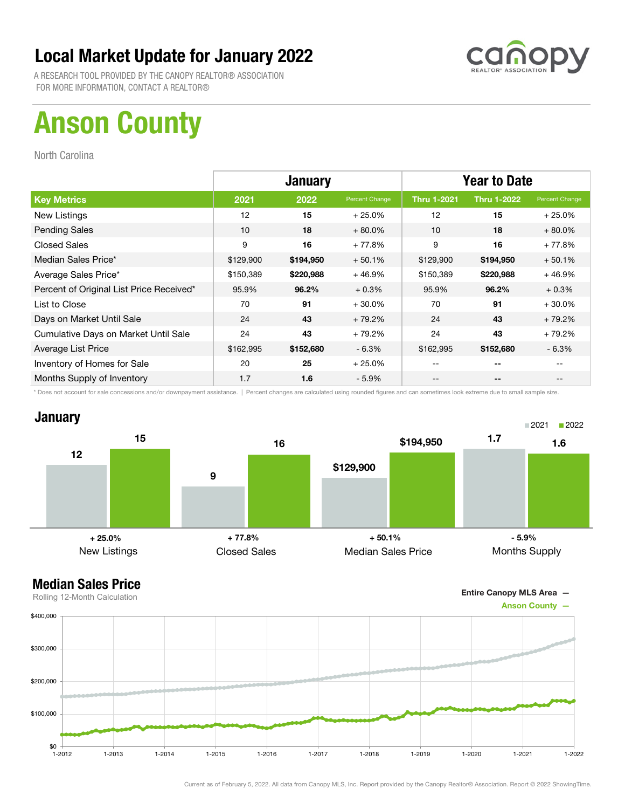

A RESEARCH TOOL PROVIDED BY THE CANOPY REALTOR® ASSOCIATION FOR MORE INFORMATION, CONTACT A REALTOR®

# Anson County

North Carolina

|                                          | <b>January</b> |           |                | <b>Year to Date</b> |                    |                |
|------------------------------------------|----------------|-----------|----------------|---------------------|--------------------|----------------|
| <b>Key Metrics</b>                       | 2021           | 2022      | Percent Change | <b>Thru 1-2021</b>  | <b>Thru 1-2022</b> | Percent Change |
| New Listings                             | 12             | 15        | $+25.0%$       | 12                  | 15                 | $+25.0%$       |
| <b>Pending Sales</b>                     | 10             | 18        | $+80.0\%$      | 10                  | 18                 | $+80.0\%$      |
| <b>Closed Sales</b>                      | 9              | 16        | $+77.8%$       | 9                   | 16                 | $+77.8%$       |
| Median Sales Price*                      | \$129,900      | \$194,950 | $+50.1%$       | \$129,900           | \$194,950          | $+50.1%$       |
| Average Sales Price*                     | \$150,389      | \$220,988 | $+46.9%$       | \$150,389           | \$220,988          | $+46.9%$       |
| Percent of Original List Price Received* | 95.9%          | 96.2%     | $+0.3%$        | 95.9%               | 96.2%              | $+0.3%$        |
| List to Close                            | 70             | 91        | $+30.0%$       | 70                  | 91                 | $+30.0%$       |
| Days on Market Until Sale                | 24             | 43        | $+79.2%$       | 24                  | 43                 | $+79.2%$       |
| Cumulative Days on Market Until Sale     | 24             | 43        | $+79.2%$       | 24                  | 43                 | $+79.2%$       |
| Average List Price                       | \$162,995      | \$152,680 | $-6.3%$        | \$162,995           | \$152,680          | $-6.3%$        |
| Inventory of Homes for Sale              | 20             | 25        | $+25.0%$       | --                  | --                 |                |
| Months Supply of Inventory               | 1.7            | 1.6       | $-5.9\%$       | --                  | --                 |                |

\* Does not account for sale concessions and/or downpayment assistance. | Percent changes are calculated using rounded figures and can sometimes look extreme due to small sample size.

### **January**





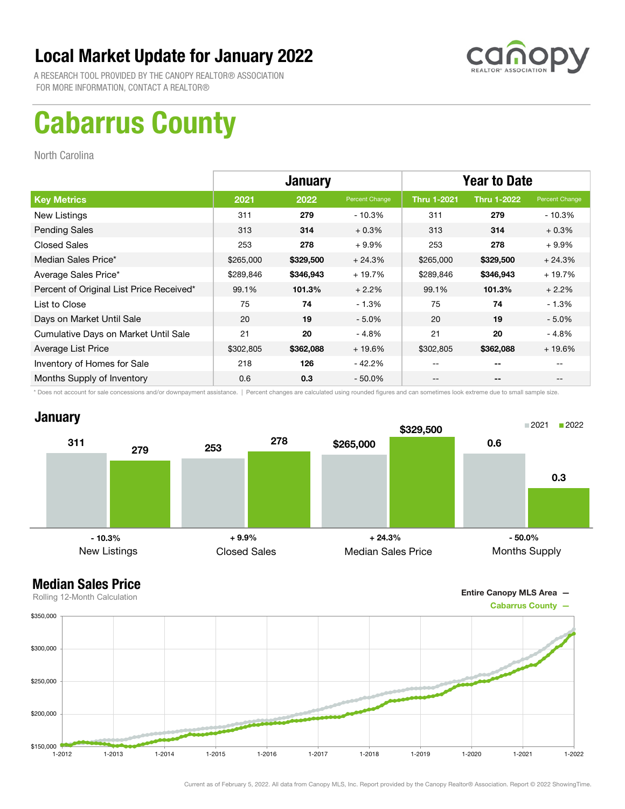

A RESEARCH TOOL PROVIDED BY THE CANOPY REALTOR® ASSOCIATION FOR MORE INFORMATION, CONTACT A REALTOR®

# Cabarrus County

North Carolina

|                                          | <b>January</b> |           |                | <b>Year to Date</b> |                    |                |
|------------------------------------------|----------------|-----------|----------------|---------------------|--------------------|----------------|
| <b>Key Metrics</b>                       | 2021           | 2022      | Percent Change | <b>Thru 1-2021</b>  | <b>Thru 1-2022</b> | Percent Change |
| New Listings                             | 311            | 279       | $-10.3%$       | 311                 | 279                | $-10.3\%$      |
| <b>Pending Sales</b>                     | 313            | 314       | $+0.3%$        | 313                 | 314                | $+0.3%$        |
| <b>Closed Sales</b>                      | 253            | 278       | $+9.9%$        | 253                 | 278                | $+9.9%$        |
| Median Sales Price*                      | \$265,000      | \$329,500 | $+24.3%$       | \$265,000           | \$329,500          | $+24.3%$       |
| Average Sales Price*                     | \$289,846      | \$346,943 | $+19.7%$       | \$289,846           | \$346,943          | $+19.7%$       |
| Percent of Original List Price Received* | 99.1%          | 101.3%    | $+2.2%$        | 99.1%               | 101.3%             | $+2.2%$        |
| List to Close                            | 75             | 74        | $-1.3%$        | 75                  | 74                 | $-1.3%$        |
| Days on Market Until Sale                | 20             | 19        | $-5.0\%$       | 20                  | 19                 | $-5.0\%$       |
| Cumulative Days on Market Until Sale     | 21             | 20        | $-4.8%$        | 21                  | 20                 | $-4.8%$        |
| Average List Price                       | \$302,805      | \$362,088 | $+19.6%$       | \$302,805           | \$362,088          | $+19.6%$       |
| Inventory of Homes for Sale              | 218            | 126       | $-42.2\%$      | --                  | --                 |                |
| Months Supply of Inventory               | 0.6            | 0.3       | $-50.0\%$      | --                  | --                 |                |

\* Does not account for sale concessions and/or downpayment assistance. | Percent changes are calculated using rounded figures and can sometimes look extreme due to small sample size.

### **January**





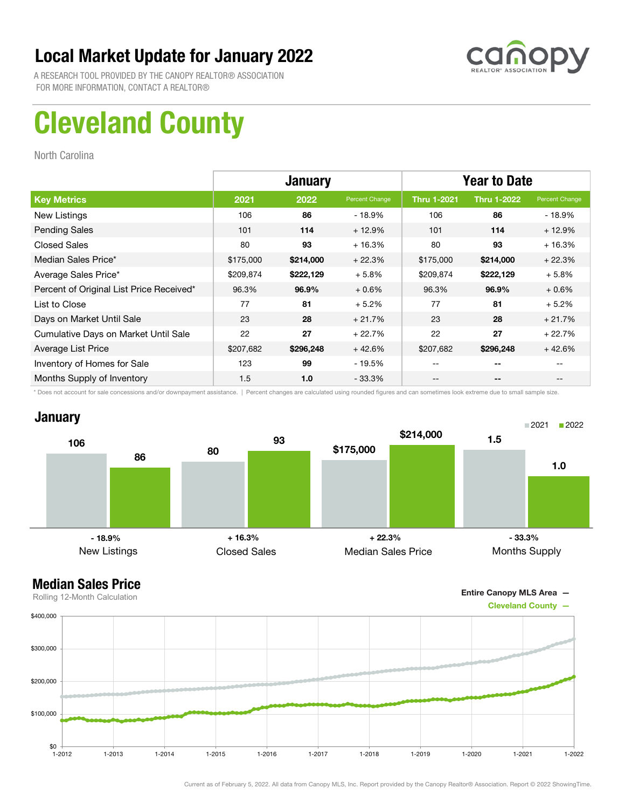

A RESEARCH TOOL PROVIDED BY THE CANOPY REALTOR® ASSOCIATION FOR MORE INFORMATION, CONTACT A REALTOR®

# Cleveland County

North Carolina

|                                          | <b>January</b> |           |                | <b>Year to Date</b> |                    |                |
|------------------------------------------|----------------|-----------|----------------|---------------------|--------------------|----------------|
| <b>Key Metrics</b>                       | 2021           | 2022      | Percent Change | <b>Thru 1-2021</b>  | <b>Thru 1-2022</b> | Percent Change |
| New Listings                             | 106            | 86        | - 18.9%        | 106                 | 86                 | - 18.9%        |
| <b>Pending Sales</b>                     | 101            | 114       | $+12.9%$       | 101                 | 114                | $+12.9%$       |
| <b>Closed Sales</b>                      | 80             | 93        | $+16.3%$       | 80                  | 93                 | $+16.3%$       |
| Median Sales Price*                      | \$175,000      | \$214,000 | $+22.3%$       | \$175,000           | \$214,000          | $+22.3%$       |
| Average Sales Price*                     | \$209,874      | \$222,129 | $+5.8%$        | \$209,874           | \$222,129          | $+5.8%$        |
| Percent of Original List Price Received* | 96.3%          | 96.9%     | $+0.6%$        | 96.3%               | 96.9%              | $+0.6%$        |
| List to Close                            | 77             | 81        | $+5.2%$        | 77                  | 81                 | $+5.2%$        |
| Days on Market Until Sale                | 23             | 28        | $+21.7%$       | 23                  | 28                 | $+21.7%$       |
| Cumulative Days on Market Until Sale     | 22             | 27        | $+22.7%$       | 22                  | 27                 | $+22.7%$       |
| Average List Price                       | \$207,682      | \$296,248 | $+42.6%$       | \$207,682           | \$296,248          | $+42.6%$       |
| Inventory of Homes for Sale              | 123            | 99        | - 19.5%        | --                  | --                 |                |
| Months Supply of Inventory               | 1.5            | 1.0       | $-33.3\%$      | --                  | --                 |                |

\* Does not account for sale concessions and/or downpayment assistance. | Percent changes are calculated using rounded figures and can sometimes look extreme due to small sample size.

### **January**



#### Median Sales Price Rolling 12-Month Calculation



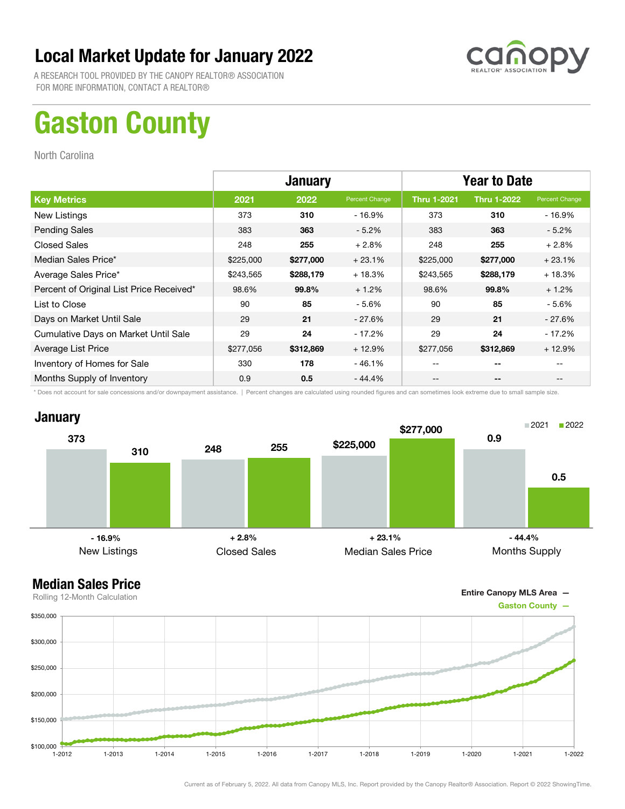

A RESEARCH TOOL PROVIDED BY THE CANOPY REALTOR® ASSOCIATION FOR MORE INFORMATION, CONTACT A REALTOR®

# Gaston County

North Carolina

|                                          | <b>January</b> |           |                | <b>Year to Date</b> |                          |                |
|------------------------------------------|----------------|-----------|----------------|---------------------|--------------------------|----------------|
| <b>Key Metrics</b>                       | 2021           | 2022      | Percent Change | <b>Thru 1-2021</b>  | <b>Thru 1-2022</b>       | Percent Change |
| New Listings                             | 373            | 310       | - 16.9%        | 373                 | 310                      | $-16.9%$       |
| <b>Pending Sales</b>                     | 383            | 363       | $-5.2%$        | 383                 | 363                      | $-5.2%$        |
| <b>Closed Sales</b>                      | 248            | 255       | $+2.8%$        | 248                 | 255                      | $+2.8%$        |
| Median Sales Price*                      | \$225,000      | \$277,000 | $+23.1%$       | \$225,000           | \$277,000                | $+23.1%$       |
| Average Sales Price*                     | \$243,565      | \$288,179 | $+18.3%$       | \$243,565           | \$288,179                | $+18.3%$       |
| Percent of Original List Price Received* | 98.6%          | 99.8%     | $+1.2%$        | 98.6%               | 99.8%                    | $+1.2%$        |
| List to Close                            | 90             | 85        | $-5.6%$        | 90                  | 85                       | - 5.6%         |
| Days on Market Until Sale                | 29             | 21        | $-27.6%$       | 29                  | 21                       | $-27.6%$       |
| Cumulative Days on Market Until Sale     | 29             | 24        | $-17.2%$       | 29                  | 24                       | - 17.2%        |
| Average List Price                       | \$277,056      | \$312,869 | $+12.9%$       | \$277,056           | \$312,869                | $+12.9%$       |
| Inventory of Homes for Sale              | 330            | 178       | $-46.1%$       |                     | $- -$                    |                |
| Months Supply of Inventory               | 0.9            | 0.5       | $-44.4%$       |                     | $\overline{\phantom{a}}$ |                |

\* Does not account for sale concessions and/or downpayment assistance. | Percent changes are calculated using rounded figures and can sometimes look extreme due to small sample size.



Entire Canopy MLS Area —

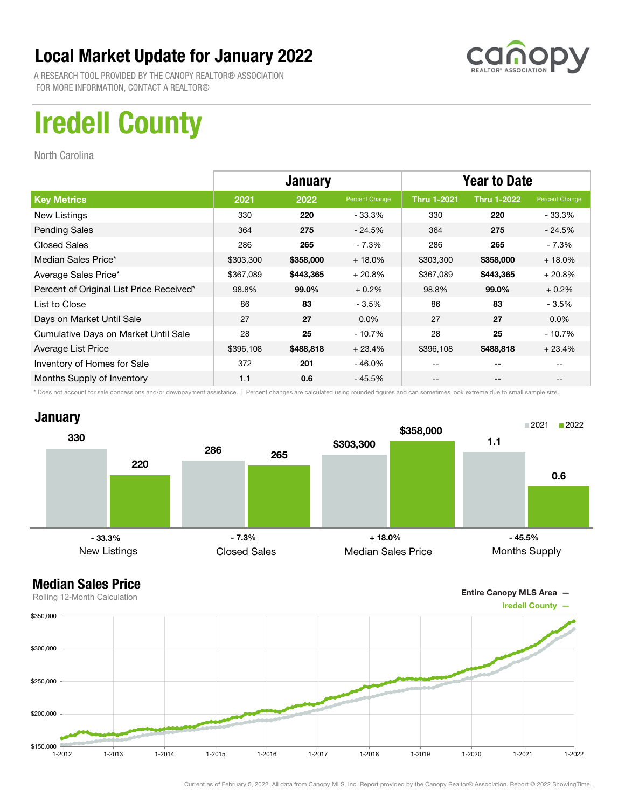

A RESEARCH TOOL PROVIDED BY THE CANOPY REALTOR® ASSOCIATION FOR MORE INFORMATION, CONTACT A REALTOR®

## Iredell County

North Carolina

|                                          |           | <b>January</b> |                | <b>Year to Date</b> |                          |                |
|------------------------------------------|-----------|----------------|----------------|---------------------|--------------------------|----------------|
| <b>Key Metrics</b>                       | 2021      | 2022           | Percent Change | <b>Thru 1-2021</b>  | <b>Thru 1-2022</b>       | Percent Change |
| New Listings                             | 330       | 220            | $-33.3%$       | 330                 | 220                      | - 33.3%        |
| <b>Pending Sales</b>                     | 364       | 275            | $-24.5%$       | 364                 | 275                      | $-24.5%$       |
| <b>Closed Sales</b>                      | 286       | 265            | $-7.3%$        | 286                 | 265                      | - 7.3%         |
| Median Sales Price*                      | \$303,300 | \$358,000      | $+18.0%$       | \$303,300           | \$358,000                | $+18.0%$       |
| Average Sales Price*                     | \$367,089 | \$443,365      | $+20.8%$       | \$367,089           | \$443,365                | $+20.8%$       |
| Percent of Original List Price Received* | 98.8%     | 99.0%          | $+0.2%$        | 98.8%               | 99.0%                    | $+0.2%$        |
| List to Close                            | 86        | 83             | $-3.5%$        | 86                  | 83                       | $-3.5%$        |
| Days on Market Until Sale                | 27        | 27             | $0.0\%$        | 27                  | 27                       | $0.0\%$        |
| Cumulative Days on Market Until Sale     | 28        | 25             | $-10.7%$       | 28                  | 25                       | - 10.7%        |
| Average List Price                       | \$396,108 | \$488,818      | $+23.4%$       | \$396,108           | \$488,818                | $+23.4%$       |
| Inventory of Homes for Sale              | 372       | 201            | $-46.0%$       |                     | --                       |                |
| Months Supply of Inventory               | 1.1       | 0.6            | $-45.5%$       |                     | $\overline{\phantom{a}}$ |                |

\* Does not account for sale concessions and/or downpayment assistance. | Percent changes are calculated using rounded figures and can sometimes look extreme due to small sample size.





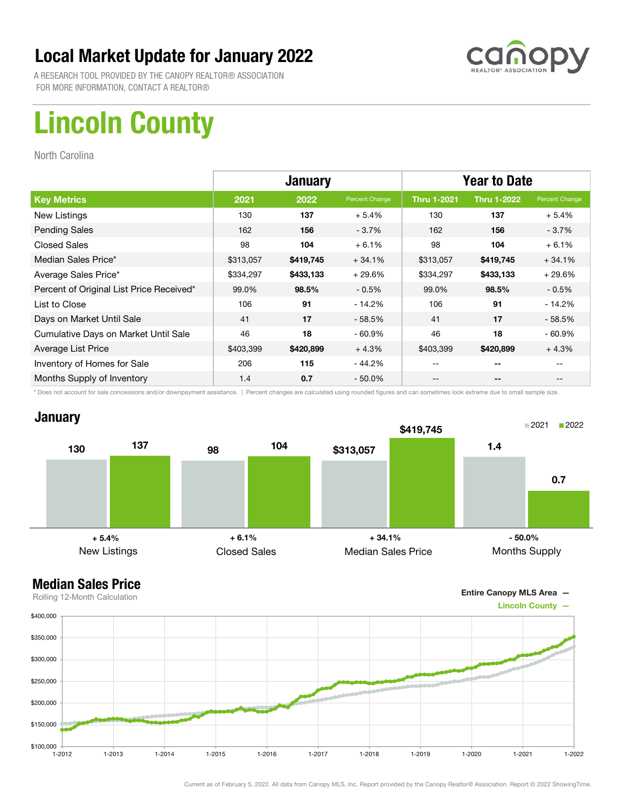

A RESEARCH TOOL PROVIDED BY THE CANOPY REALTOR® ASSOCIATION FOR MORE INFORMATION, CONTACT A REALTOR®

# Lincoln County

North Carolina

|                                          |           | <b>January</b> |                | <b>Year to Date</b> |                    |                |
|------------------------------------------|-----------|----------------|----------------|---------------------|--------------------|----------------|
| <b>Key Metrics</b>                       | 2021      | 2022           | Percent Change | <b>Thru 1-2021</b>  | <b>Thru 1-2022</b> | Percent Change |
| New Listings                             | 130       | 137            | $+5.4%$        | 130                 | 137                | $+5.4%$        |
| <b>Pending Sales</b>                     | 162       | 156            | $-3.7%$        | 162                 | 156                | $-3.7\%$       |
| <b>Closed Sales</b>                      | 98        | 104            | $+6.1%$        | 98                  | 104                | $+6.1%$        |
| Median Sales Price*                      | \$313,057 | \$419,745      | $+34.1%$       | \$313,057           | \$419,745          | $+34.1%$       |
| Average Sales Price*                     | \$334,297 | \$433,133      | $+29.6%$       | \$334,297           | \$433,133          | $+29.6%$       |
| Percent of Original List Price Received* | 99.0%     | 98.5%          | $-0.5%$        | 99.0%               | 98.5%              | $-0.5%$        |
| List to Close                            | 106       | 91             | - 14.2%        | 106                 | 91                 | $-14.2%$       |
| Days on Market Until Sale                | 41        | 17             | $-58.5%$       | 41                  | 17                 | $-58.5%$       |
| Cumulative Days on Market Until Sale     | 46        | 18             | $-60.9\%$      | 46                  | 18                 | $-60.9%$       |
| Average List Price                       | \$403,399 | \$420,899      | $+4.3%$        | \$403,399           | \$420,899          | $+4.3%$        |
| Inventory of Homes for Sale              | 206       | 115            | - 44.2%        | --                  | --                 |                |
| Months Supply of Inventory               | 1.4       | 0.7            | $-50.0\%$      | --                  | --                 |                |

\* Does not account for sale concessions and/or downpayment assistance. | Percent changes are calculated using rounded figures and can sometimes look extreme due to small sample size.



### Median Sales Price





Current as of February 5, 2022. All data from Canopy MLS, Inc. Report provided by the Canopy Realtor® Association. Report © 2022 ShowingTime.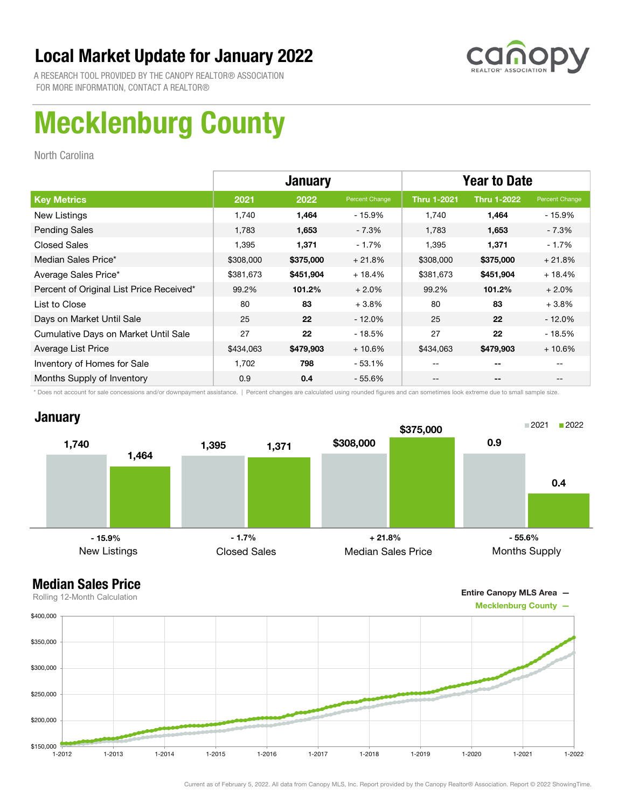

A RESEARCH TOOL PROVIDED BY THE CANOPY REALTOR® ASSOCIATION FOR MORE INFORMATION, CONTACT A REALTOR®

# Mecklenburg County

North Carolina

|                                          | <b>January</b> |           |                | <b>Year to Date</b> |                    |                |
|------------------------------------------|----------------|-----------|----------------|---------------------|--------------------|----------------|
| <b>Key Metrics</b>                       | 2021           | 2022      | Percent Change | <b>Thru 1-2021</b>  | <b>Thru 1-2022</b> | Percent Change |
| New Listings                             | 1.740          | 1,464     | - 15.9%        | 1.740               | 1,464              | - 15.9%        |
| <b>Pending Sales</b>                     | 1,783          | 1,653     | $-7.3%$        | 1,783               | 1,653              | - 7.3%         |
| <b>Closed Sales</b>                      | 1,395          | 1,371     | $-1.7%$        | 1,395               | 1,371              | - 1.7%         |
| Median Sales Price*                      | \$308,000      | \$375,000 | $+21.8%$       | \$308,000           | \$375,000          | $+21.8%$       |
| Average Sales Price*                     | \$381,673      | \$451,904 | $+18.4%$       | \$381,673           | \$451,904          | $+18.4%$       |
| Percent of Original List Price Received* | 99.2%          | 101.2%    | $+2.0%$        | 99.2%               | 101.2%             | $+2.0%$        |
| List to Close                            | 80             | 83        | $+3.8%$        | 80                  | 83                 | $+3.8\%$       |
| Days on Market Until Sale                | 25             | 22        | $-12.0\%$      | 25                  | 22                 | $-12.0%$       |
| Cumulative Days on Market Until Sale     | 27             | 22        | $-18.5%$       | 27                  | 22                 | $-18.5%$       |
| Average List Price                       | \$434,063      | \$479,903 | $+10.6%$       | \$434,063           | \$479,903          | $+10.6%$       |
| Inventory of Homes for Sale              | 1,702          | 798       | $-53.1%$       | --                  | --                 |                |
| Months Supply of Inventory               | 0.9            | 0.4       | $-55.6\%$      | --                  | --                 |                |

\* Does not account for sale concessions and/or downpayment assistance. | Percent changes are calculated using rounded figures and can sometimes look extreme due to small sample size.

### **January**



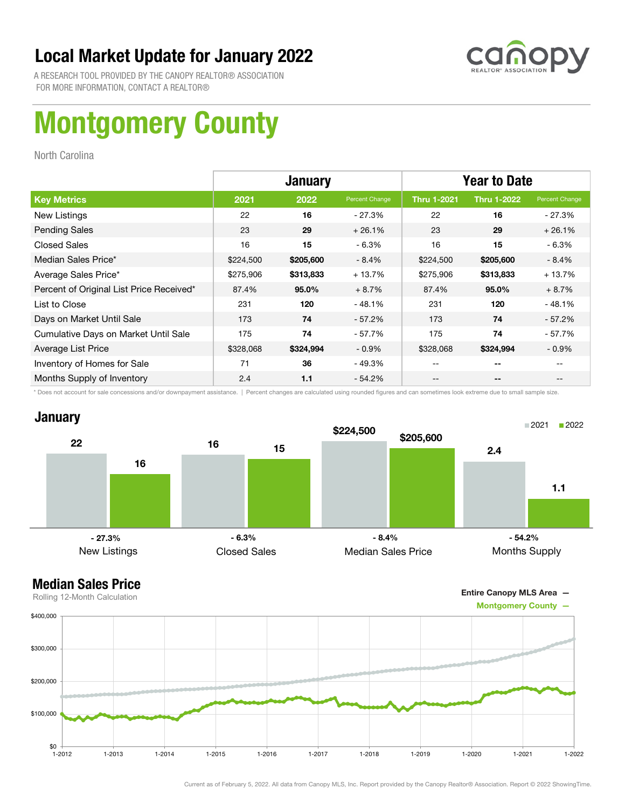

A RESEARCH TOOL PROVIDED BY THE CANOPY REALTOR® ASSOCIATION FOR MORE INFORMATION, CONTACT A REALTOR®

# Montgomery County

North Carolina

|                                          | <b>January</b> |           |                | <b>Year to Date</b> |                          |                |
|------------------------------------------|----------------|-----------|----------------|---------------------|--------------------------|----------------|
| <b>Key Metrics</b>                       | 2021           | 2022      | Percent Change | <b>Thru 1-2021</b>  | <b>Thru 1-2022</b>       | Percent Change |
| New Listings                             | 22             | 16        | $-27.3%$       | 22                  | 16                       | - 27.3%        |
| <b>Pending Sales</b>                     | 23             | 29        | $+26.1%$       | 23                  | 29                       | $+26.1%$       |
| <b>Closed Sales</b>                      | 16             | 15        | $-6.3%$        | 16                  | 15                       | $-6.3%$        |
| Median Sales Price*                      | \$224,500      | \$205,600 | $-8.4%$        | \$224,500           | \$205,600                | - 8.4%         |
| Average Sales Price*                     | \$275,906      | \$313,833 | $+13.7%$       | \$275,906           | \$313,833                | $+13.7%$       |
| Percent of Original List Price Received* | 87.4%          | 95.0%     | $+8.7%$        | 87.4%               | 95.0%                    | $+8.7%$        |
| List to Close                            | 231            | 120       | $-48.1%$       | 231                 | 120                      | $-48.1%$       |
| Days on Market Until Sale                | 173            | 74        | $-57.2%$       | 173                 | 74                       | $-57.2%$       |
| Cumulative Days on Market Until Sale     | 175            | 74        | $-57.7%$       | 175                 | 74                       | - 57.7%        |
| Average List Price                       | \$328,068      | \$324,994 | $-0.9\%$       | \$328,068           | \$324,994                | $-0.9%$        |
| Inventory of Homes for Sale              | 71             | 36        | $-49.3%$       | --                  | $- -$                    |                |
| Months Supply of Inventory               | 2.4            | 1.1       | $-54.2%$       | --                  | $\overline{\phantom{a}}$ | $- -$          |

\* Does not account for sale concessions and/or downpayment assistance. | Percent changes are calculated using rounded figures and can sometimes look extreme due to small sample size.

### **January**



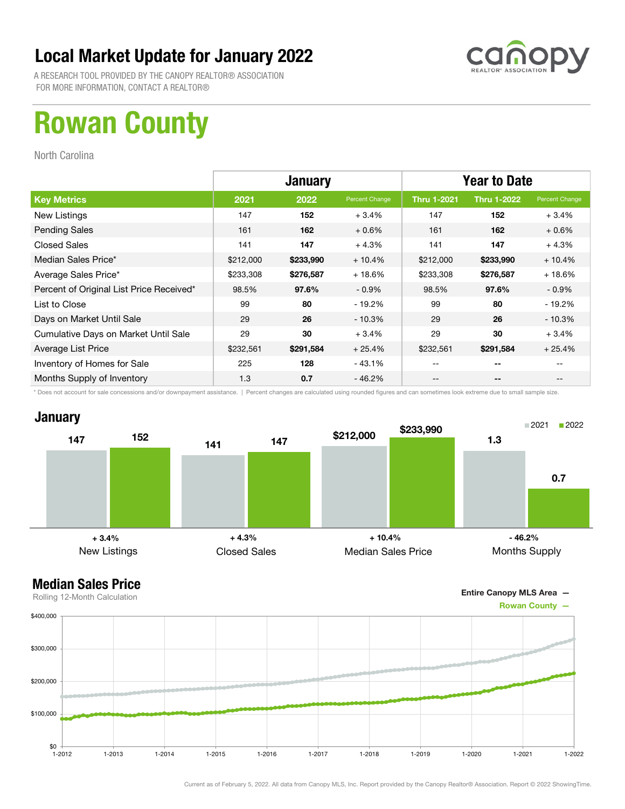

A RESEARCH TOOL PROVIDED BY THE CANOPY REALTOR® ASSOCIATION FOR MORE INFORMATION, CONTACT A REALTOR®

## Rowan County

North Carolina

|                                          | <b>January</b> |           |                | <b>Year to Date</b> |                    |                |
|------------------------------------------|----------------|-----------|----------------|---------------------|--------------------|----------------|
| <b>Key Metrics</b>                       | 2021           | 2022      | Percent Change | <b>Thru 1-2021</b>  | <b>Thru 1-2022</b> | Percent Change |
| New Listings                             | 147            | 152       | $+3.4%$        | 147                 | 152                | $+3.4%$        |
| <b>Pending Sales</b>                     | 161            | 162       | $+0.6%$        | 161                 | 162                | $+0.6%$        |
| <b>Closed Sales</b>                      | 141            | 147       | $+4.3%$        | 141                 | 147                | $+4.3%$        |
| Median Sales Price*                      | \$212,000      | \$233,990 | $+10.4%$       | \$212,000           | \$233,990          | $+10.4%$       |
| Average Sales Price*                     | \$233,308      | \$276,587 | $+18.6%$       | \$233,308           | \$276,587          | $+18.6%$       |
| Percent of Original List Price Received* | 98.5%          | 97.6%     | $-0.9\%$       | 98.5%               | 97.6%              | $-0.9\%$       |
| List to Close                            | 99             | 80        | - 19.2%        | 99                  | 80                 | $-19.2%$       |
| Days on Market Until Sale                | 29             | 26        | $-10.3\%$      | 29                  | 26                 | $-10.3%$       |
| Cumulative Days on Market Until Sale     | 29             | 30        | $+3.4%$        | 29                  | 30                 | $+3.4%$        |
| Average List Price                       | \$232,561      | \$291,584 | $+25.4%$       | \$232,561           | \$291,584          | $+25.4%$       |
| Inventory of Homes for Sale              | 225            | 128       | - 43.1%        | --                  | --                 |                |
| Months Supply of Inventory               | 1.3            | 0.7       | - 46.2%        | --                  | --                 |                |

\* Does not account for sale concessions and/or downpayment assistance. | Percent changes are calculated using rounded figures and can sometimes look extreme due to small sample size.

#### **January**



Entire Canopy MLS Area —

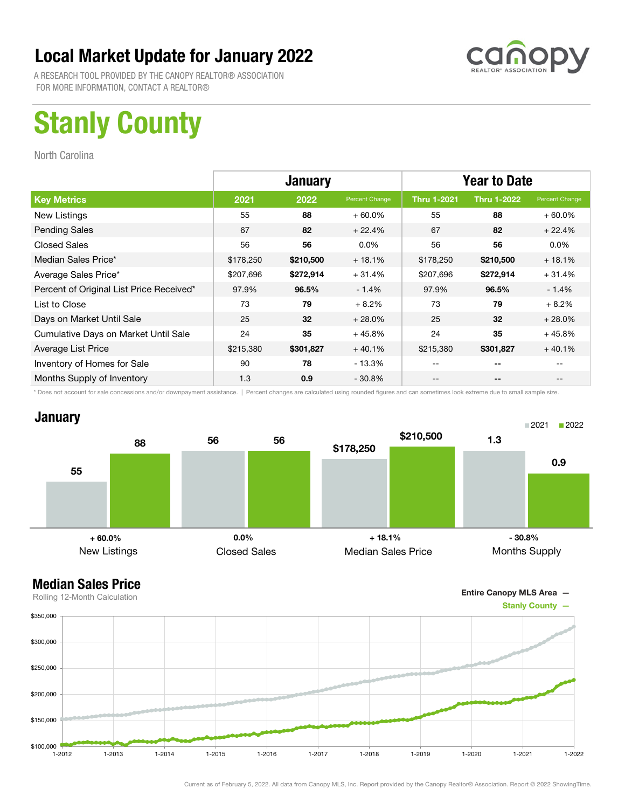

A RESEARCH TOOL PROVIDED BY THE CANOPY REALTOR® ASSOCIATION FOR MORE INFORMATION, CONTACT A REALTOR®

# Stanly County

North Carolina

|                                          |           | <b>January</b> |                | <b>Year to Date</b> |                    |                |
|------------------------------------------|-----------|----------------|----------------|---------------------|--------------------|----------------|
| <b>Key Metrics</b>                       | 2021      | 2022           | Percent Change | <b>Thru 1-2021</b>  | <b>Thru 1-2022</b> | Percent Change |
| New Listings                             | 55        | 88             | $+60.0\%$      | 55                  | 88                 | $+60.0\%$      |
| <b>Pending Sales</b>                     | 67        | 82             | $+22.4%$       | 67                  | 82                 | $+22.4%$       |
| <b>Closed Sales</b>                      | 56        | 56             | $0.0\%$        | 56                  | 56                 | $0.0\%$        |
| Median Sales Price*                      | \$178,250 | \$210,500      | $+18.1%$       | \$178,250           | \$210,500          | $+18.1%$       |
| Average Sales Price*                     | \$207,696 | \$272,914      | $+31.4%$       | \$207,696           | \$272,914          | $+31.4%$       |
| Percent of Original List Price Received* | 97.9%     | 96.5%          | $-1.4%$        | 97.9%               | 96.5%              | $-1.4%$        |
| List to Close                            | 73        | 79             | $+8.2%$        | 73                  | 79                 | $+8.2%$        |
| Days on Market Until Sale                | 25        | 32             | $+28.0%$       | 25                  | 32                 | $+28.0%$       |
| Cumulative Days on Market Until Sale     | 24        | 35             | $+45.8%$       | 24                  | 35                 | $+45.8%$       |
| Average List Price                       | \$215,380 | \$301,827      | $+40.1%$       | \$215,380           | \$301,827          | $+40.1%$       |
| Inventory of Homes for Sale              | 90        | 78             | - 13.3%        |                     | --                 |                |
| Months Supply of Inventory               | 1.3       | 0.9            | $-30.8\%$      | --                  | --                 |                |

\* Does not account for sale concessions and/or downpayment assistance. | Percent changes are calculated using rounded figures and can sometimes look extreme due to small sample size.

### January





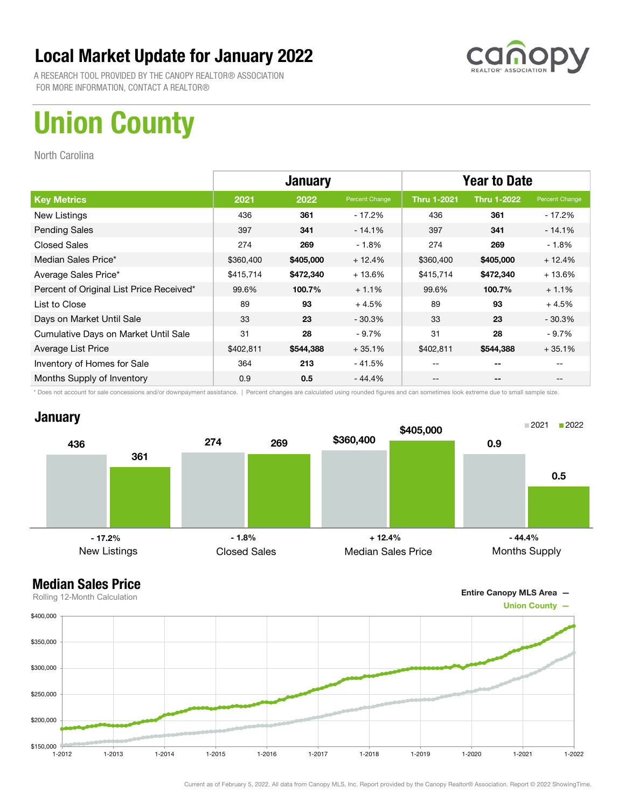

A RESEARCH TOOL PROVIDED BY THE CANOPY REALTOR® ASSOCIATION FOR MORE INFORMATION, CONTACT A REALTOR®

# Union County

North Carolina

|                                          | <b>January</b> |           |                | <b>Year to Date</b> |                    |                |
|------------------------------------------|----------------|-----------|----------------|---------------------|--------------------|----------------|
| <b>Key Metrics</b>                       | 2021           | 2022      | Percent Change | <b>Thru 1-2021</b>  | <b>Thru 1-2022</b> | Percent Change |
| New Listings                             | 436            | 361       | - 17.2%        | 436                 | 361                | $-17.2%$       |
| <b>Pending Sales</b>                     | 397            | 341       | $-14.1%$       | 397                 | 341                | $-14.1%$       |
| <b>Closed Sales</b>                      | 274            | 269       | $-1.8%$        | 274                 | 269                | $-1.8%$        |
| Median Sales Price*                      | \$360,400      | \$405,000 | $+12.4%$       | \$360,400           | \$405,000          | $+12.4%$       |
| Average Sales Price*                     | \$415,714      | \$472,340 | $+13.6%$       | \$415,714           | \$472,340          | $+13.6%$       |
| Percent of Original List Price Received* | 99.6%          | 100.7%    | $+1.1%$        | 99.6%               | 100.7%             | $+1.1%$        |
| List to Close                            | 89             | 93        | $+4.5%$        | 89                  | 93                 | $+4.5%$        |
| Days on Market Until Sale                | 33             | 23        | $-30.3%$       | 33                  | 23                 | $-30.3%$       |
| Cumulative Days on Market Until Sale     | 31             | 28        | $-9.7\%$       | 31                  | 28                 | $-9.7\%$       |
| Average List Price                       | \$402,811      | \$544,388 | $+35.1%$       | \$402,811           | \$544,388          | $+35.1%$       |
| Inventory of Homes for Sale              | 364            | 213       | - 41.5%        | --                  | --                 |                |
| Months Supply of Inventory               | 0.9            | 0.5       | $-44.4%$       | --                  | --                 |                |

\* Does not account for sale concessions and/or downpayment assistance. | Percent changes are calculated using rounded figures and can sometimes look extreme due to small sample size.

### **January**



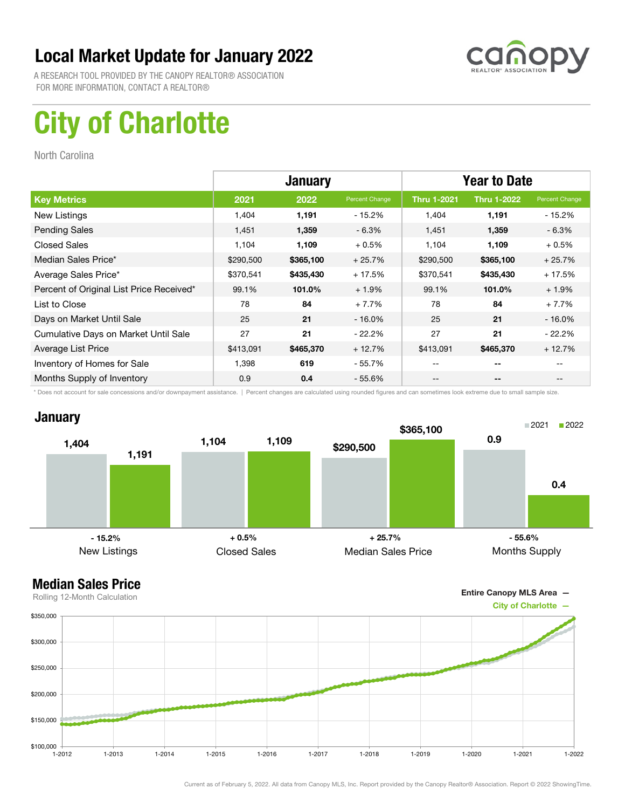

A RESEARCH TOOL PROVIDED BY THE CANOPY REALTOR® ASSOCIATION FOR MORE INFORMATION, CONTACT A REALTOR®

# City of Charlotte

North Carolina

|                                          | <b>January</b> |           |                | <b>Year to Date</b> |                    |                |
|------------------------------------------|----------------|-----------|----------------|---------------------|--------------------|----------------|
| <b>Key Metrics</b>                       | 2021           | 2022      | Percent Change | <b>Thru 1-2021</b>  | <b>Thru 1-2022</b> | Percent Change |
| New Listings                             | 1,404          | 1,191     | $-15.2%$       | 1,404               | 1,191              | - 15.2%        |
| <b>Pending Sales</b>                     | 1,451          | 1,359     | $-6.3%$        | 1,451               | 1,359              | $-6.3%$        |
| <b>Closed Sales</b>                      | 1,104          | 1,109     | $+0.5%$        | 1,104               | 1,109              | $+0.5%$        |
| Median Sales Price*                      | \$290,500      | \$365,100 | $+25.7%$       | \$290,500           | \$365,100          | $+25.7%$       |
| Average Sales Price*                     | \$370,541      | \$435,430 | $+17.5%$       | \$370,541           | \$435,430          | $+17.5%$       |
| Percent of Original List Price Received* | 99.1%          | 101.0%    | $+1.9%$        | 99.1%               | 101.0%             | $+1.9%$        |
| List to Close                            | 78             | 84        | $+7.7%$        | 78                  | 84                 | $+7.7%$        |
| Days on Market Until Sale                | 25             | 21        | $-16.0%$       | 25                  | 21                 | $-16.0%$       |
| Cumulative Days on Market Until Sale     | 27             | 21        | $-22.2%$       | 27                  | 21                 | $-22.2\%$      |
| Average List Price                       | \$413,091      | \$465,370 | $+12.7%$       | \$413,091           | \$465,370          | $+12.7%$       |
| Inventory of Homes for Sale              | 1,398          | 619       | $-55.7%$       | --                  | --                 |                |
| Months Supply of Inventory               | 0.9            | 0.4       | $-55.6%$       | --                  | --                 |                |

\* Does not account for sale concessions and/or downpayment assistance. | Percent changes are calculated using rounded figures and can sometimes look extreme due to small sample size.

### **January**





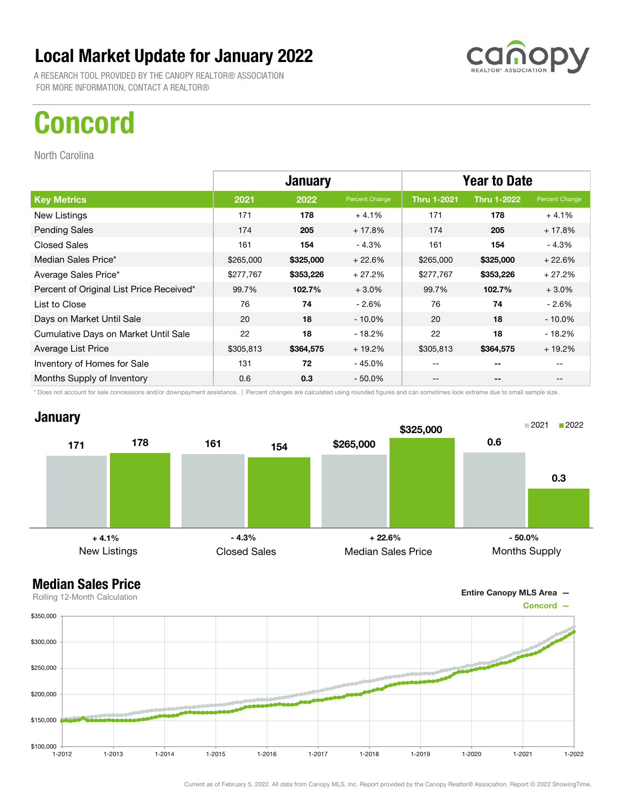A RESEARCH TOOL PROVIDED BY THE CANOPY REALTOR® ASSOCIATION FOR MORE INFORMATION, CONTACT A REALTOR®

## Concord

North Carolina

|                                          | <b>January</b> |           |                | <b>Year to Date</b> |                    |                |
|------------------------------------------|----------------|-----------|----------------|---------------------|--------------------|----------------|
| <b>Key Metrics</b>                       | 2021           | 2022      | Percent Change | <b>Thru 1-2021</b>  | <b>Thru 1-2022</b> | Percent Change |
| New Listings                             | 171            | 178       | $+4.1%$        | 171                 | 178                | $+4.1%$        |
| <b>Pending Sales</b>                     | 174            | 205       | $+17.8%$       | 174                 | 205                | $+17.8%$       |
| <b>Closed Sales</b>                      | 161            | 154       | $-4.3%$        | 161                 | 154                | - 4.3%         |
| Median Sales Price*                      | \$265,000      | \$325,000 | $+22.6%$       | \$265,000           | \$325,000          | $+22.6%$       |
| Average Sales Price*                     | \$277,767      | \$353,226 | $+27.2%$       | \$277,767           | \$353,226          | $+27.2%$       |
| Percent of Original List Price Received* | 99.7%          | 102.7%    | $+3.0%$        | 99.7%               | 102.7%             | $+3.0%$        |
| List to Close                            | 76             | 74        | $-2.6%$        | 76                  | 74                 | - 2.6%         |
| Days on Market Until Sale                | 20             | 18        | $-10.0\%$      | 20                  | 18                 | $-10.0\%$      |
| Cumulative Days on Market Until Sale     | 22             | 18        | - 18.2%        | 22                  | 18                 | $-18.2%$       |
| Average List Price                       | \$305,813      | \$364,575 | $+19.2%$       | \$305,813           | \$364,575          | $+19.2%$       |
| Inventory of Homes for Sale              | 131            | 72        | - 45.0%        | --                  | --                 |                |
| Months Supply of Inventory               | 0.6            | 0.3       | - 50.0%        | --                  | --                 | $- -$          |

\* Does not account for sale concessions and/or downpayment assistance. | Percent changes are calculated using rounded figures and can sometimes look extreme due to small sample size.

### **January**





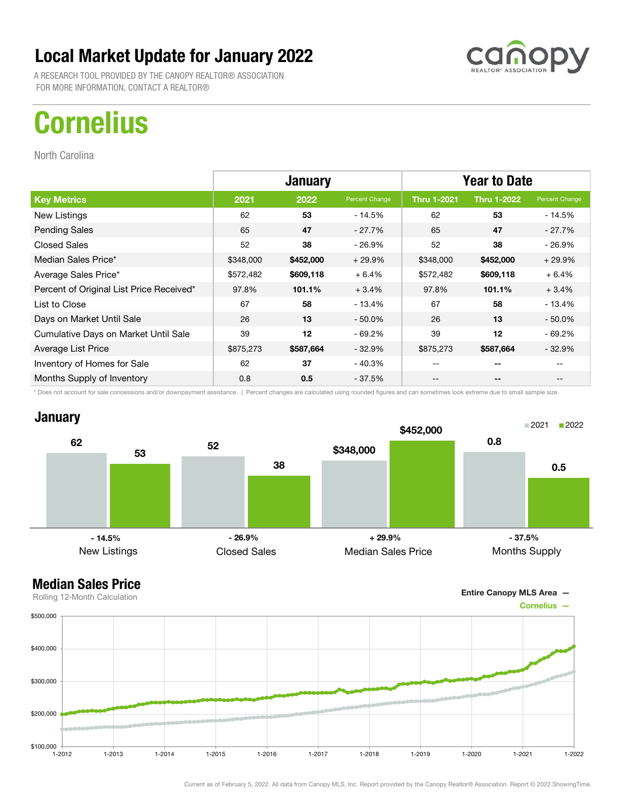A RESEARCH TOOL PROVIDED BY THE CANOPY REALTOR® ASSOCIATION FOR MORE INFORMATION, CONTACT A REALTOR®

# **Cornelius**

North Carolina

|                                          | <b>January</b> |           |                | <b>Year to Date</b> |                    |                |
|------------------------------------------|----------------|-----------|----------------|---------------------|--------------------|----------------|
| <b>Key Metrics</b>                       | 2021           | 2022      | Percent Change | <b>Thru 1-2021</b>  | <b>Thru 1-2022</b> | Percent Change |
| New Listings                             | 62             | 53        | - 14.5%        | 62                  | 53                 | - 14.5%        |
| <b>Pending Sales</b>                     | 65             | 47        | $-27.7\%$      | 65                  | 47                 | - 27.7%        |
| <b>Closed Sales</b>                      | 52             | 38        | $-26.9%$       | 52                  | 38                 | - 26.9%        |
| Median Sales Price*                      | \$348,000      | \$452,000 | $+29.9%$       | \$348,000           | \$452,000          | $+29.9%$       |
| Average Sales Price*                     | \$572,482      | \$609,118 | $+6.4%$        | \$572,482           | \$609,118          | $+6.4%$        |
| Percent of Original List Price Received* | 97.8%          | 101.1%    | $+3.4%$        | 97.8%               | 101.1%             | $+3.4%$        |
| List to Close                            | 67             | 58        | $-13.4%$       | 67                  | 58                 | $-13.4%$       |
| Days on Market Until Sale                | 26             | 13        | $-50.0\%$      | 26                  | 13                 | $-50.0\%$      |
| Cumulative Days on Market Until Sale     | 39             | 12        | $-69.2%$       | 39                  | 12                 | $-69.2\%$      |
| Average List Price                       | \$875,273      | \$587,664 | $-32.9%$       | \$875,273           | \$587,664          | $-32.9\%$      |
| Inventory of Homes for Sale              | 62             | 37        | - 40.3%        | --                  | --                 |                |
| Months Supply of Inventory               | 0.8            | 0.5       | $-37.5%$       | --                  | --                 |                |

\* Does not account for sale concessions and/or downpayment assistance. | Percent changes are calculated using rounded figures and can sometimes look extreme due to small sample size.



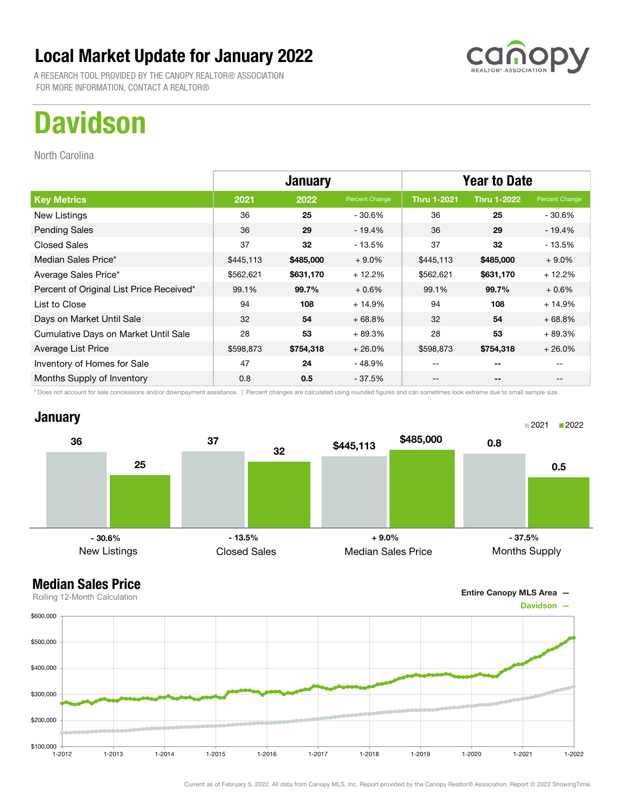A RESEARCH TOOL PROVIDED BY THE CANOPY REALTOR® ASSOCIATION FOR MORE INFORMATION, CONTACT A REALTOR®

# **Davidson**

North Carolina

|                                          | <b>January</b> |           |                | <b>Year to Date</b> |                    |                |
|------------------------------------------|----------------|-----------|----------------|---------------------|--------------------|----------------|
| <b>Key Metrics</b>                       | 2021           | 2022      | Percent Change | <b>Thru 1-2021</b>  | <b>Thru 1-2022</b> | Percent Change |
| New Listings                             | 36             | 25        | - 30.6%        | 36                  | 25                 | - 30.6%        |
| <b>Pending Sales</b>                     | 36             | 29        | $-19.4%$       | 36                  | 29                 | $-19.4%$       |
| <b>Closed Sales</b>                      | 37             | 32        | - 13.5%        | 37                  | 32                 | $-13.5%$       |
| Median Sales Price*                      | \$445,113      | \$485,000 | $+9.0%$        | \$445,113           | \$485,000          | $+9.0\%$       |
| Average Sales Price*                     | \$562,621      | \$631,170 | $+12.2%$       | \$562,621           | \$631,170          | $+12.2%$       |
| Percent of Original List Price Received* | 99.1%          | 99.7%     | $+0.6%$        | 99.1%               | 99.7%              | $+0.6%$        |
| List to Close                            | 94             | 108       | $+14.9%$       | 94                  | 108                | $+14.9%$       |
| Days on Market Until Sale                | 32             | 54        | $+68.8%$       | 32                  | 54                 | $+68.8%$       |
| Cumulative Days on Market Until Sale     | 28             | 53        | $+89.3%$       | 28                  | 53                 | $+89.3%$       |
| Average List Price                       | \$598,873      | \$754,318 | $+26.0%$       | \$598,873           | \$754,318          | $+26.0%$       |
| Inventory of Homes for Sale              | 47             | 24        | - 48.9%        |                     | --                 |                |
| Months Supply of Inventory               | 0.8            | 0.5       | $-37.5%$       | --                  | --                 | $- -$          |

\* Does not account for sale concessions and/or downpayment assistance. | Percent changes are calculated using rounded figures and can sometimes look extreme due to small sample size.

### **January**



Entire Canopy MLS Area —

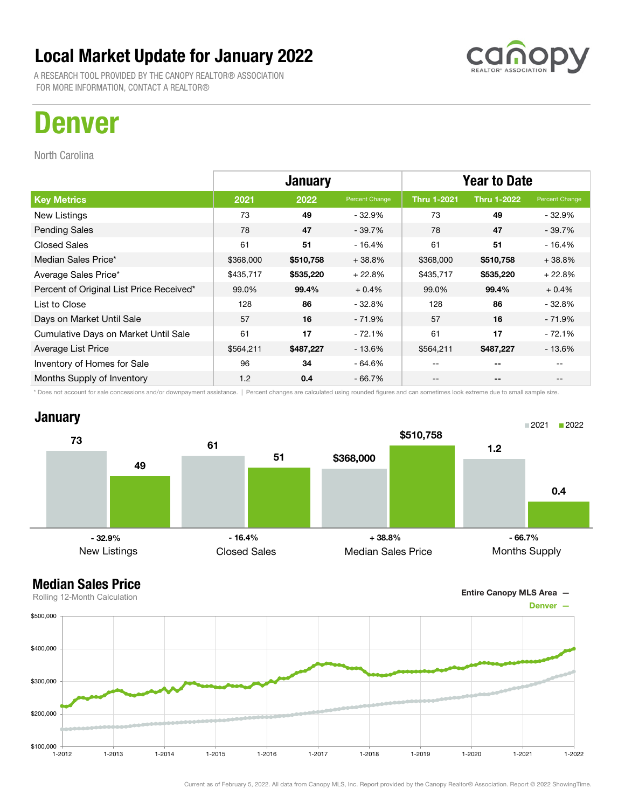A RESEARCH TOOL PROVIDED BY THE CANOPY REALTOR® ASSOCIATION FOR MORE INFORMATION, CONTACT A REALTOR®

## Denver

North Carolina

|                                          | <b>January</b> |           |                | <b>Year to Date</b> |                    |                |
|------------------------------------------|----------------|-----------|----------------|---------------------|--------------------|----------------|
| <b>Key Metrics</b>                       | 2021           | 2022      | Percent Change | <b>Thru 1-2021</b>  | <b>Thru 1-2022</b> | Percent Change |
| New Listings                             | 73             | 49        | $-32.9%$       | 73                  | 49                 | $-32.9%$       |
| <b>Pending Sales</b>                     | 78             | 47        | $-39.7%$       | 78                  | 47                 | $-39.7%$       |
| <b>Closed Sales</b>                      | 61             | 51        | - 16.4%        | 61                  | 51                 | - 16.4%        |
| Median Sales Price*                      | \$368,000      | \$510,758 | $+38.8%$       | \$368,000           | \$510,758          | $+38.8%$       |
| Average Sales Price*                     | \$435,717      | \$535,220 | $+22.8%$       | \$435,717           | \$535,220          | $+22.8%$       |
| Percent of Original List Price Received* | 99.0%          | 99.4%     | $+0.4%$        | 99.0%               | 99.4%              | $+0.4%$        |
| List to Close                            | 128            | 86        | $-32.8%$       | 128                 | 86                 | $-32.8%$       |
| Days on Market Until Sale                | 57             | 16        | - 71.9%        | 57                  | 16                 | $-71.9%$       |
| Cumulative Days on Market Until Sale     | 61             | 17        | $-72.1%$       | 61                  | 17                 | $-72.1%$       |
| Average List Price                       | \$564,211      | \$487,227 | $-13.6%$       | \$564,211           | \$487,227          | $-13.6%$       |
| Inventory of Homes for Sale              | 96             | 34        | - 64.6%        |                     | --                 |                |
| Months Supply of Inventory               | 1.2            | 0.4       | $-66.7%$       | --                  | --                 | --             |

\* Does not account for sale concessions and/or downpayment assistance. | Percent changes are calculated using rounded figures and can sometimes look extreme due to small sample size.



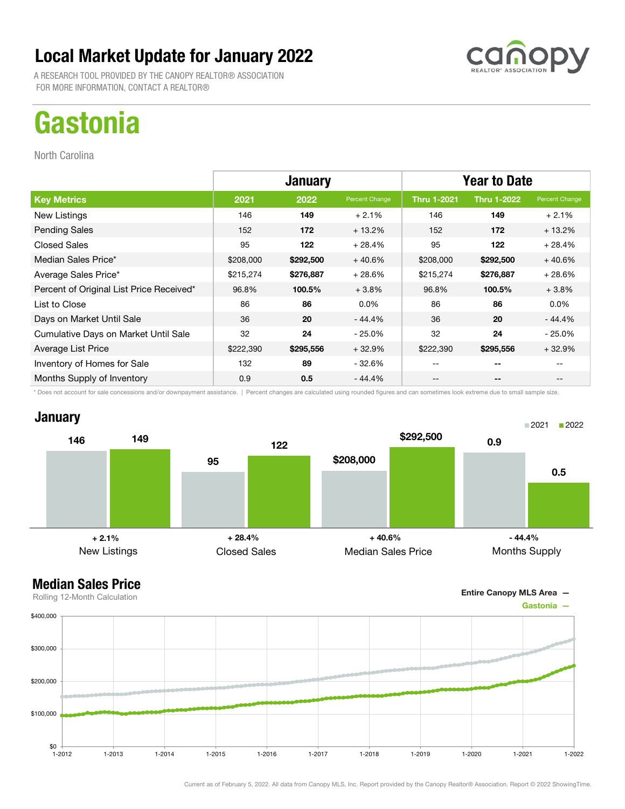A RESEARCH TOOL PROVIDED BY THE CANOPY REALTOR® ASSOCIATION FOR MORE INFORMATION, CONTACT A REALTOR®

# **Gastonia**

North Carolina

|                                          | <b>January</b> |           |                | <b>Year to Date</b> |                    |                                       |
|------------------------------------------|----------------|-----------|----------------|---------------------|--------------------|---------------------------------------|
| <b>Key Metrics</b>                       | 2021           | 2022      | Percent Change | <b>Thru 1-2021</b>  | <b>Thru 1-2022</b> | Percent Change                        |
| New Listings                             | 146            | 149       | $+2.1%$        | 146                 | 149                | $+2.1%$                               |
| <b>Pending Sales</b>                     | 152            | 172       | $+13.2%$       | 152                 | 172                | $+13.2%$                              |
| <b>Closed Sales</b>                      | 95             | 122       | $+28.4%$       | 95                  | 122                | $+28.4%$                              |
| Median Sales Price*                      | \$208,000      | \$292,500 | $+40.6%$       | \$208,000           | \$292,500          | $+40.6%$                              |
| Average Sales Price*                     | \$215,274      | \$276,887 | $+28.6%$       | \$215,274           | \$276,887          | $+28.6%$                              |
| Percent of Original List Price Received* | 96.8%          | 100.5%    | $+3.8%$        | 96.8%               | 100.5%             | $+3.8%$                               |
| List to Close                            | 86             | 86        | $0.0\%$        | 86                  | 86                 | $0.0\%$                               |
| Days on Market Until Sale                | 36             | 20        | $-44.4%$       | 36                  | 20                 | $-44.4%$                              |
| Cumulative Days on Market Until Sale     | 32             | 24        | $-25.0\%$      | 32                  | 24                 | $-25.0%$                              |
| Average List Price                       | \$222,390      | \$295,556 | $+32.9%$       | \$222,390           | \$295,556          | $+32.9%$                              |
| Inventory of Homes for Sale              | 132            | 89        | - 32.6%        | --                  | --                 |                                       |
| Months Supply of Inventory               | 0.9            | 0.5       | - 44.4%        | --                  | --                 | $\hspace{0.05cm}$ – $\hspace{0.05cm}$ |

\* Does not account for sale concessions and/or downpayment assistance. | Percent changes are calculated using rounded figures and can sometimes look extreme due to small sample size.

### **January**



### Median Sales Price

![](_page_18_Figure_9.jpeg)

1-2012 1-2013 1-2014 1-2015 1-2016 1-2017 1-2018 1-2019 1-2020 1-2021 1-2022

Rolling 12-Month Calculation

 $$0 +$ <br>1-2012

\$100,000

\$200,000

\$300,000

\$400,000

Entire Canopy MLS Area —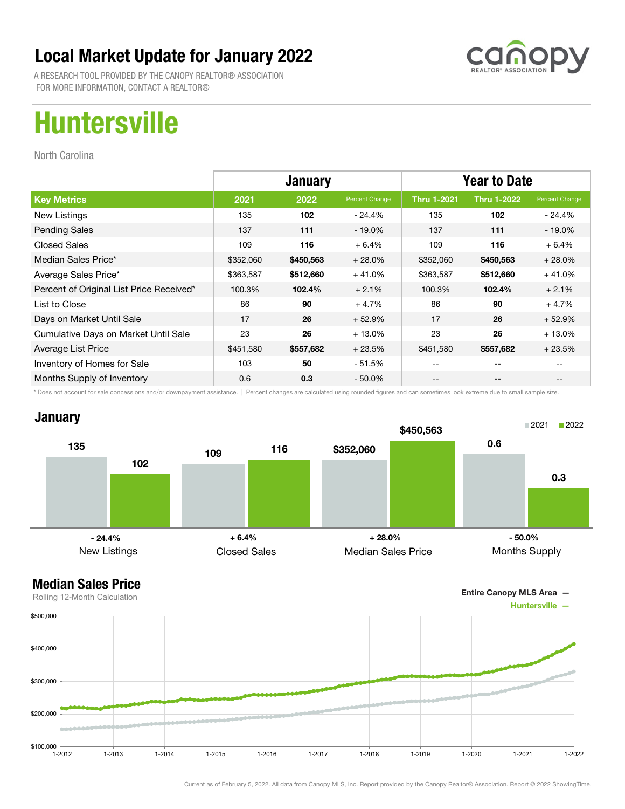![](_page_19_Picture_1.jpeg)

A RESEARCH TOOL PROVIDED BY THE CANOPY REALTOR® ASSOCIATION FOR MORE INFORMATION, CONTACT A REALTOR®

# Huntersville

North Carolina

|                                          | <b>January</b> |           |                | <b>Year to Date</b> |                    |                |
|------------------------------------------|----------------|-----------|----------------|---------------------|--------------------|----------------|
| <b>Key Metrics</b>                       | 2021           | 2022      | Percent Change | <b>Thru 1-2021</b>  | <b>Thru 1-2022</b> | Percent Change |
| New Listings                             | 135            | 102       | $-24.4%$       | 135                 | 102                | - 24.4%        |
| <b>Pending Sales</b>                     | 137            | 111       | $-19.0%$       | 137                 | 111                | $-19.0\%$      |
| <b>Closed Sales</b>                      | 109            | 116       | $+6.4%$        | 109                 | 116                | $+6.4%$        |
| Median Sales Price*                      | \$352,060      | \$450,563 | $+28.0%$       | \$352,060           | \$450,563          | $+28.0%$       |
| Average Sales Price*                     | \$363,587      | \$512,660 | $+41.0%$       | \$363,587           | \$512,660          | $+41.0%$       |
| Percent of Original List Price Received* | 100.3%         | 102.4%    | $+2.1%$        | 100.3%              | 102.4%             | $+2.1%$        |
| List to Close                            | 86             | 90        | $+4.7%$        | 86                  | 90                 | $+4.7%$        |
| Days on Market Until Sale                | 17             | 26        | $+52.9%$       | 17                  | 26                 | $+52.9%$       |
| Cumulative Days on Market Until Sale     | 23             | 26        | $+13.0%$       | 23                  | 26                 | $+13.0%$       |
| Average List Price                       | \$451,580      | \$557,682 | $+23.5%$       | \$451,580           | \$557,682          | $+23.5%$       |
| Inventory of Homes for Sale              | 103            | 50        | $-51.5%$       |                     | --                 |                |
| Months Supply of Inventory               | 0.6            | 0.3       | $-50.0\%$      | --                  | --                 |                |

\* Does not account for sale concessions and/or downpayment assistance. | Percent changes are calculated using rounded figures and can sometimes look extreme due to small sample size.

![](_page_19_Figure_7.jpeg)

### Median Sales Price

![](_page_19_Figure_9.jpeg)

Current as of February 5, 2022. All data from Canopy MLS, Inc. Report provided by the Canopy Realtor® Association. Report © 2022 ShowingTime.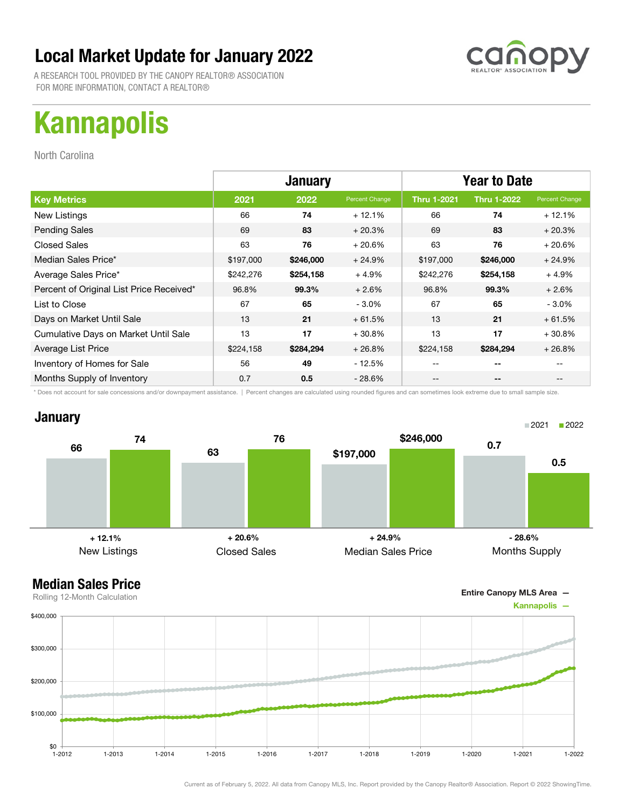![](_page_20_Picture_1.jpeg)

A RESEARCH TOOL PROVIDED BY THE CANOPY REALTOR® ASSOCIATION FOR MORE INFORMATION, CONTACT A REALTOR®

# Kannapolis

North Carolina

|                                          | <b>January</b> |           |                | <b>Year to Date</b> |                    |                |
|------------------------------------------|----------------|-----------|----------------|---------------------|--------------------|----------------|
| <b>Key Metrics</b>                       | 2021           | 2022      | Percent Change | <b>Thru 1-2021</b>  | <b>Thru 1-2022</b> | Percent Change |
| New Listings                             | 66             | 74        | $+12.1%$       | 66                  | 74                 | $+12.1%$       |
| <b>Pending Sales</b>                     | 69             | 83        | $+20.3%$       | 69                  | 83                 | $+20.3%$       |
| <b>Closed Sales</b>                      | 63             | 76        | $+20.6%$       | 63                  | 76                 | $+20.6%$       |
| Median Sales Price*                      | \$197,000      | \$246,000 | $+24.9%$       | \$197,000           | \$246,000          | $+24.9%$       |
| Average Sales Price*                     | \$242,276      | \$254,158 | $+4.9%$        | \$242,276           | \$254,158          | $+4.9%$        |
| Percent of Original List Price Received* | 96.8%          | 99.3%     | $+2.6%$        | 96.8%               | 99.3%              | $+2.6%$        |
| List to Close                            | 67             | 65        | $-3.0%$        | 67                  | 65                 | $-3.0\%$       |
| Days on Market Until Sale                | 13             | 21        | $+61.5%$       | 13                  | 21                 | $+61.5%$       |
| Cumulative Days on Market Until Sale     | 13             | 17        | $+30.8%$       | 13                  | 17                 | $+30.8%$       |
| Average List Price                       | \$224,158      | \$284,294 | $+26.8%$       | \$224,158           | \$284,294          | $+26.8%$       |
| Inventory of Homes for Sale              | 56             | 49        | - 12.5%        |                     |                    |                |
| Months Supply of Inventory               | 0.7            | 0.5       | - 28.6%        | --                  | --                 |                |

\* Does not account for sale concessions and/or downpayment assistance. | Percent changes are calculated using rounded figures and can sometimes look extreme due to small sample size.

#### **January**

![](_page_20_Figure_8.jpeg)

![](_page_20_Figure_10.jpeg)

![](_page_20_Figure_11.jpeg)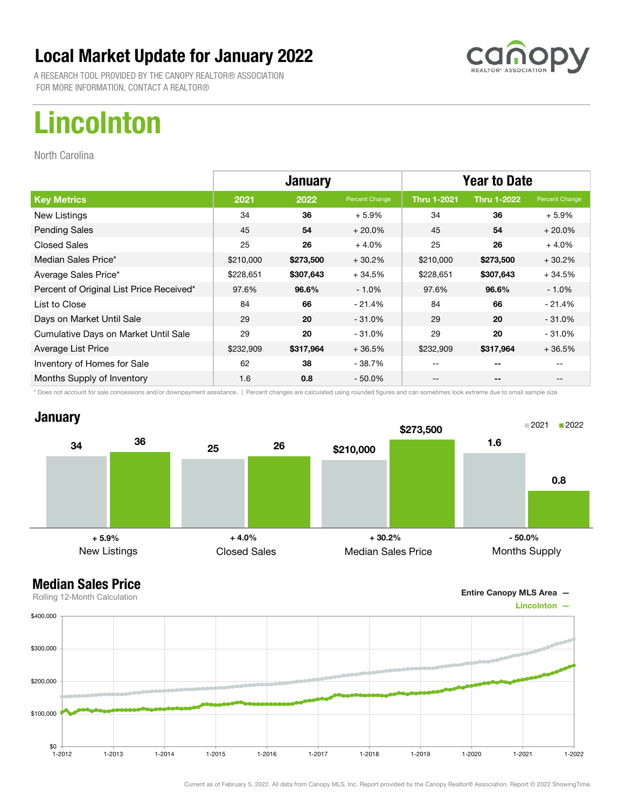![](_page_21_Picture_1.jpeg)

A RESEARCH TOOL PROVIDED BY THE CANOPY REALTOR® ASSOCIATION FOR MORE INFORMATION, CONTACT A REALTOR®

# Lincolnton

North Carolina

|                                          | <b>January</b> |           |                | <b>Year to Date</b> |                    |                |
|------------------------------------------|----------------|-----------|----------------|---------------------|--------------------|----------------|
| <b>Key Metrics</b>                       | 2021           | 2022      | Percent Change | <b>Thru 1-2021</b>  | <b>Thru 1-2022</b> | Percent Change |
| New Listings                             | 34             | 36        | $+5.9%$        | 34                  | 36                 | $+5.9%$        |
| <b>Pending Sales</b>                     | 45             | 54        | $+20.0%$       | 45                  | 54                 | $+20.0%$       |
| <b>Closed Sales</b>                      | 25             | 26        | $+4.0%$        | 25                  | 26                 | $+4.0%$        |
| Median Sales Price*                      | \$210,000      | \$273,500 | $+30.2%$       | \$210,000           | \$273,500          | $+30.2%$       |
| Average Sales Price*                     | \$228,651      | \$307,643 | $+34.5%$       | \$228,651           | \$307,643          | $+34.5%$       |
| Percent of Original List Price Received* | 97.6%          | 96.6%     | $-1.0\%$       | 97.6%               | 96.6%              | $-1.0\%$       |
| List to Close                            | 84             | 66        | $-21.4%$       | 84                  | 66                 | $-21.4%$       |
| Days on Market Until Sale                | 29             | 20        | $-31.0\%$      | 29                  | 20                 | $-31.0%$       |
| Cumulative Days on Market Until Sale     | 29             | 20        | $-31.0%$       | 29                  | 20                 | $-31.0%$       |
| Average List Price                       | \$232,909      | \$317,964 | $+36.5%$       | \$232,909           | \$317,964          | $+36.5%$       |
| Inventory of Homes for Sale              | 62             | 38        | - 38.7%        | --                  | --                 |                |
| Months Supply of Inventory               | 1.6            | 0.8       | $-50.0\%$      | --                  | --                 |                |

\* Does not account for sale concessions and/or downpayment assistance. | Percent changes are calculated using rounded figures and can sometimes look extreme due to small sample size.

### **January**

![](_page_21_Figure_8.jpeg)

### Median Sales Price

![](_page_21_Figure_10.jpeg)

![](_page_21_Figure_11.jpeg)

Current as of February 5, 2022. All data from Canopy MLS, Inc. Report provided by the Canopy Realtor® Association. Report © 2022 ShowingTime.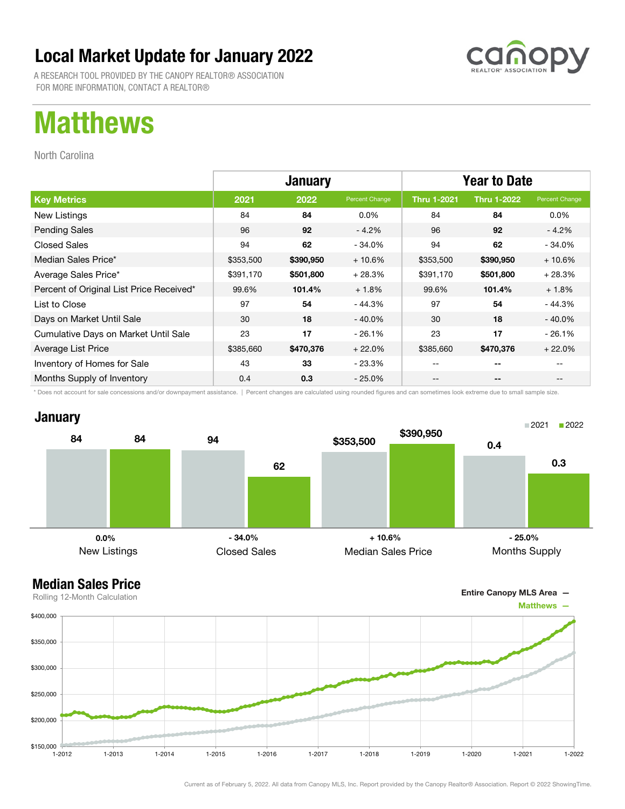![](_page_22_Picture_1.jpeg)

A RESEARCH TOOL PROVIDED BY THE CANOPY REALTOR® ASSOCIATION FOR MORE INFORMATION, CONTACT A REALTOR®

## Matthews

North Carolina

|                                          | <b>January</b> |           |                | <b>Year to Date</b> |                    |                |
|------------------------------------------|----------------|-----------|----------------|---------------------|--------------------|----------------|
| <b>Key Metrics</b>                       | 2021           | 2022      | Percent Change | <b>Thru 1-2021</b>  | <b>Thru 1-2022</b> | Percent Change |
| New Listings                             | 84             | 84        | $0.0\%$        | 84                  | 84                 | $0.0\%$        |
| <b>Pending Sales</b>                     | 96             | 92        | $-4.2%$        | 96                  | 92                 | $-4.2%$        |
| <b>Closed Sales</b>                      | 94             | 62        | $-34.0\%$      | 94                  | 62                 | $-34.0%$       |
| Median Sales Price*                      | \$353,500      | \$390,950 | $+10.6%$       | \$353,500           | \$390,950          | $+10.6%$       |
| Average Sales Price*                     | \$391,170      | \$501,800 | $+28.3%$       | \$391,170           | \$501,800          | $+28.3%$       |
| Percent of Original List Price Received* | 99.6%          | 101.4%    | $+1.8%$        | 99.6%               | 101.4%             | $+1.8%$        |
| List to Close                            | 97             | 54        | $-44.3%$       | 97                  | 54                 | $-44.3%$       |
| Days on Market Until Sale                | 30             | 18        | $-40.0\%$      | 30                  | 18                 | $-40.0\%$      |
| Cumulative Days on Market Until Sale     | 23             | 17        | $-26.1%$       | 23                  | 17                 | $-26.1%$       |
| Average List Price                       | \$385,660      | \$470,376 | $+22.0%$       | \$385,660           | \$470,376          | $+22.0%$       |
| Inventory of Homes for Sale              | 43             | 33        | - 23.3%        |                     | --                 |                |
| Months Supply of Inventory               | 0.4            | 0.3       | $-25.0\%$      | --                  | --                 |                |

\* Does not account for sale concessions and/or downpayment assistance. | Percent changes are calculated using rounded figures and can sometimes look extreme due to small sample size.

#### **January**

![](_page_22_Figure_8.jpeg)

![](_page_22_Figure_10.jpeg)

![](_page_22_Figure_11.jpeg)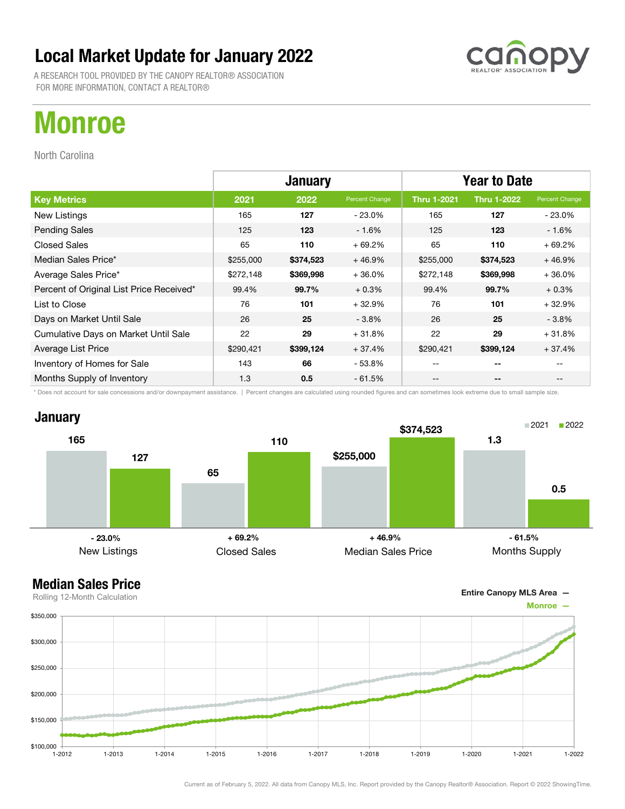A RESEARCH TOOL PROVIDED BY THE CANOPY REALTOR® ASSOCIATION FOR MORE INFORMATION, CONTACT A REALTOR®

## Monroe

North Carolina

|                                          | <b>January</b> |           |                | <b>Year to Date</b> |                    |                |
|------------------------------------------|----------------|-----------|----------------|---------------------|--------------------|----------------|
| <b>Key Metrics</b>                       | 2021           | 2022      | Percent Change | <b>Thru 1-2021</b>  | <b>Thru 1-2022</b> | Percent Change |
| New Listings                             | 165            | 127       | $-23.0\%$      | 165                 | 127                | $-23.0%$       |
| <b>Pending Sales</b>                     | 125            | 123       | $-1.6%$        | 125                 | 123                | $-1.6%$        |
| <b>Closed Sales</b>                      | 65             | 110       | $+69.2%$       | 65                  | 110                | $+69.2%$       |
| Median Sales Price*                      | \$255,000      | \$374,523 | $+46.9%$       | \$255,000           | \$374,523          | $+46.9%$       |
| Average Sales Price*                     | \$272,148      | \$369,998 | $+36.0%$       | \$272,148           | \$369,998          | $+36.0%$       |
| Percent of Original List Price Received* | 99.4%          | 99.7%     | $+0.3%$        | 99.4%               | 99.7%              | $+0.3%$        |
| List to Close                            | 76             | 101       | $+32.9%$       | 76                  | 101                | $+32.9%$       |
| Days on Market Until Sale                | 26             | 25        | $-3.8%$        | 26                  | 25                 | $-3.8%$        |
| Cumulative Days on Market Until Sale     | 22             | 29        | $+31.8%$       | 22                  | 29                 | $+31.8%$       |
| Average List Price                       | \$290,421      | \$399,124 | $+37.4%$       | \$290,421           | \$399,124          | $+37.4%$       |
| Inventory of Homes for Sale              | 143            | 66        | - 53.8%        | --                  | --                 |                |
| Months Supply of Inventory               | 1.3            | 0.5       | $-61.5%$       | --                  | --                 |                |

\* Does not account for sale concessions and/or downpayment assistance. | Percent changes are calculated using rounded figures and can sometimes look extreme due to small sample size.

![](_page_23_Figure_6.jpeg)

![](_page_23_Figure_8.jpeg)

![](_page_23_Figure_9.jpeg)

![](_page_23_Picture_10.jpeg)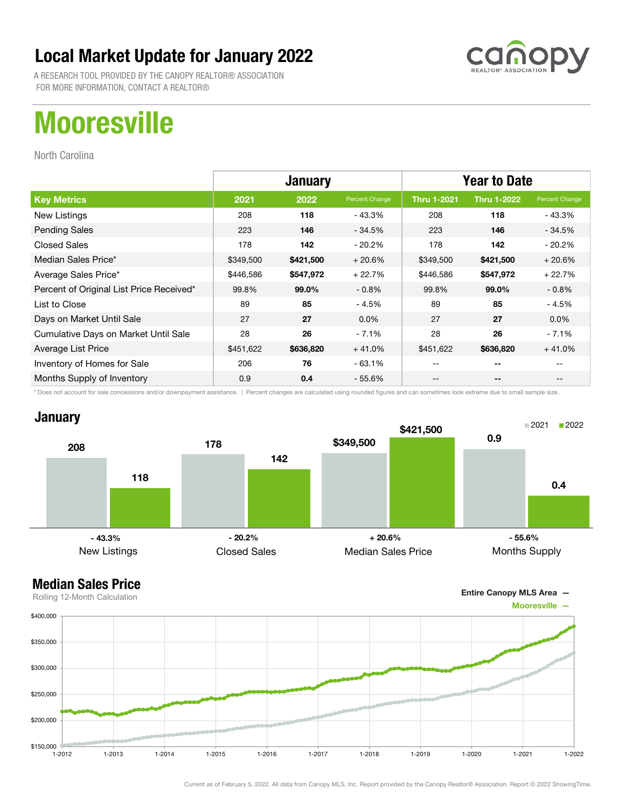![](_page_24_Picture_1.jpeg)

A RESEARCH TOOL PROVIDED BY THE CANOPY REALTOR® ASSOCIATION FOR MORE INFORMATION, CONTACT A REALTOR®

# **Mooresville**

North Carolina

|                                          | <b>January</b> |           |                | <b>Year to Date</b> |                    |                |
|------------------------------------------|----------------|-----------|----------------|---------------------|--------------------|----------------|
| <b>Key Metrics</b>                       | 2021           | 2022      | Percent Change | <b>Thru 1-2021</b>  | <b>Thru 1-2022</b> | Percent Change |
| New Listings                             | 208            | 118       | - 43.3%        | 208                 | 118                | - 43.3%        |
| <b>Pending Sales</b>                     | 223            | 146       | $-34.5%$       | 223                 | 146                | $-34.5%$       |
| <b>Closed Sales</b>                      | 178            | 142       | - 20.2%        | 178                 | 142                | - 20.2%        |
| Median Sales Price*                      | \$349,500      | \$421,500 | $+20.6%$       | \$349,500           | \$421,500          | $+20.6%$       |
| Average Sales Price*                     | \$446,586      | \$547,972 | $+22.7%$       | \$446,586           | \$547,972          | $+22.7%$       |
| Percent of Original List Price Received* | 99.8%          | 99.0%     | $-0.8\%$       | 99.8%               | 99.0%              | $-0.8\%$       |
| List to Close                            | 89             | 85        | $-4.5%$        | 89                  | 85                 | - 4.5%         |
| Days on Market Until Sale                | 27             | 27        | $0.0\%$        | 27                  | 27                 | $0.0\%$        |
| Cumulative Days on Market Until Sale     | 28             | 26        | $-7.1%$        | 28                  | 26                 | $-7.1%$        |
| Average List Price                       | \$451,622      | \$636,820 | $+41.0%$       | \$451,622           | \$636,820          | $+41.0%$       |
| Inventory of Homes for Sale              | 206            | 76        | $-63.1%$       | --                  | --                 |                |
| Months Supply of Inventory               | 0.9            | 0.4       | $-55.6\%$      | --                  | --                 |                |

\* Does not account for sale concessions and/or downpayment assistance. | Percent changes are calculated using rounded figures and can sometimes look extreme due to small sample size.

### **January**

![](_page_24_Figure_8.jpeg)

![](_page_24_Figure_10.jpeg)

![](_page_24_Figure_11.jpeg)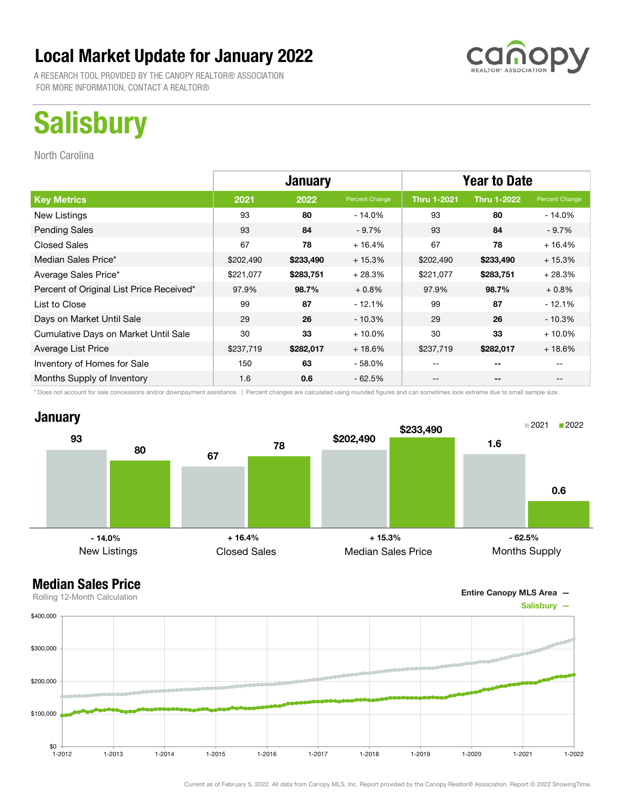A RESEARCH TOOL PROVIDED BY THE CANOPY REALTOR® ASSOCIATION FOR MORE INFORMATION, CONTACT A REALTOR®

# **Salisbury**

North Carolina

|                                          | <b>January</b> |           |                | <b>Year to Date</b> |                    |                |
|------------------------------------------|----------------|-----------|----------------|---------------------|--------------------|----------------|
| <b>Key Metrics</b>                       | 2021           | 2022      | Percent Change | <b>Thru 1-2021</b>  | <b>Thru 1-2022</b> | Percent Change |
| New Listings                             | 93             | 80        | - 14.0%        | 93                  | 80                 | - 14.0%        |
| <b>Pending Sales</b>                     | 93             | 84        | $-9.7%$        | 93                  | 84                 | $-9.7\%$       |
| <b>Closed Sales</b>                      | 67             | 78        | $+16.4%$       | 67                  | 78                 | $+16.4%$       |
| Median Sales Price*                      | \$202,490      | \$233,490 | $+15.3%$       | \$202,490           | \$233,490          | $+15.3%$       |
| Average Sales Price*                     | \$221,077      | \$283,751 | $+28.3%$       | \$221,077           | \$283,751          | $+28.3%$       |
| Percent of Original List Price Received* | 97.9%          | 98.7%     | $+0.8%$        | 97.9%               | 98.7%              | $+0.8%$        |
| List to Close                            | 99             | 87        | $-12.1%$       | 99                  | 87                 | $-12.1%$       |
| Days on Market Until Sale                | 29             | 26        | $-10.3%$       | 29                  | 26                 | $-10.3%$       |
| Cumulative Days on Market Until Sale     | 30             | 33        | $+10.0%$       | 30                  | 33                 | $+10.0%$       |
| Average List Price                       | \$237,719      | \$282,017 | $+18.6\%$      | \$237,719           | \$282,017          | $+18.6%$       |
| Inventory of Homes for Sale              | 150            | 63        | - 58.0%        | --                  |                    |                |
| Months Supply of Inventory               | 1.6            | 0.6       | $-62.5%$       | --                  | --                 |                |

\* Does not account for sale concessions and/or downpayment assistance. | Percent changes are calculated using rounded figures and can sometimes look extreme due to small sample size.

### **January**

![](_page_25_Figure_8.jpeg)

![](_page_25_Figure_10.jpeg)

![](_page_25_Figure_11.jpeg)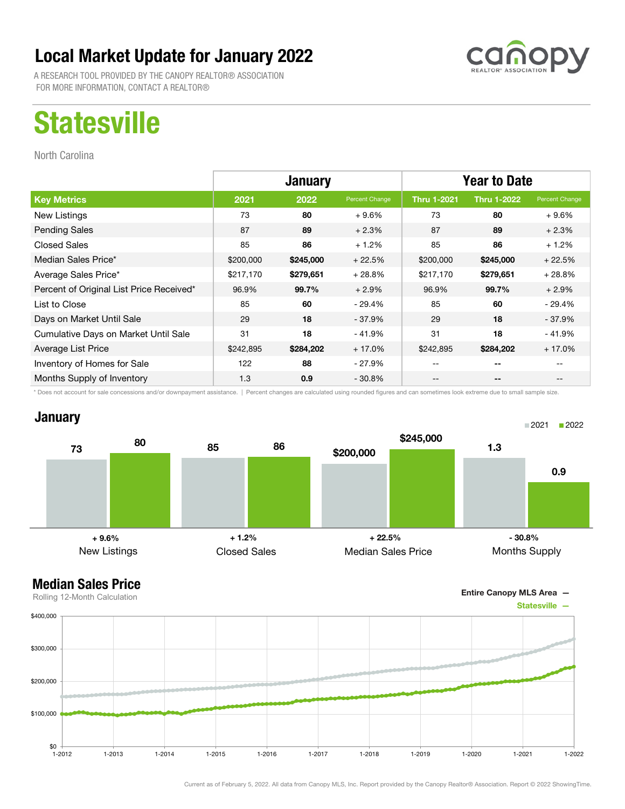A RESEARCH TOOL PROVIDED BY THE CANOPY REALTOR® ASSOCIATION FOR MORE INFORMATION, CONTACT A REALTOR®

# **Statesville**

North Carolina

|                                          | <b>January</b> |           |                | <b>Year to Date</b> |                    |                |
|------------------------------------------|----------------|-----------|----------------|---------------------|--------------------|----------------|
| <b>Key Metrics</b>                       | 2021           | 2022      | Percent Change | <b>Thru 1-2021</b>  | <b>Thru 1-2022</b> | Percent Change |
| New Listings                             | 73             | 80        | $+9.6%$        | 73                  | 80                 | $+9.6\%$       |
| <b>Pending Sales</b>                     | 87             | 89        | $+2.3%$        | 87                  | 89                 | $+2.3%$        |
| <b>Closed Sales</b>                      | 85             | 86        | $+1.2%$        | 85                  | 86                 | $+1.2%$        |
| Median Sales Price*                      | \$200,000      | \$245,000 | $+22.5%$       | \$200,000           | \$245,000          | $+22.5%$       |
| Average Sales Price*                     | \$217,170      | \$279,651 | $+28.8%$       | \$217,170           | \$279,651          | $+28.8%$       |
| Percent of Original List Price Received* | 96.9%          | 99.7%     | $+2.9%$        | 96.9%               | 99.7%              | $+2.9%$        |
| List to Close                            | 85             | 60        | - 29.4%        | 85                  | 60                 | - 29.4%        |
| Days on Market Until Sale                | 29             | 18        | - 37.9%        | 29                  | 18                 | - 37.9%        |
| Cumulative Days on Market Until Sale     | 31             | 18        | $-41.9%$       | 31                  | 18                 | - 41.9%        |
| Average List Price                       | \$242,895      | \$284,202 | $+17.0%$       | \$242,895           | \$284,202          | $+17.0%$       |
| Inventory of Homes for Sale              | 122            | 88        | - 27.9%        |                     | --                 |                |
| Months Supply of Inventory               | 1.3            | 0.9       | $-30.8\%$      | --                  | --                 |                |

\* Does not account for sale concessions and/or downpayment assistance. | Percent changes are calculated using rounded figures and can sometimes look extreme due to small sample size.

### **January**

![](_page_26_Figure_8.jpeg)

![](_page_26_Figure_10.jpeg)

![](_page_26_Figure_11.jpeg)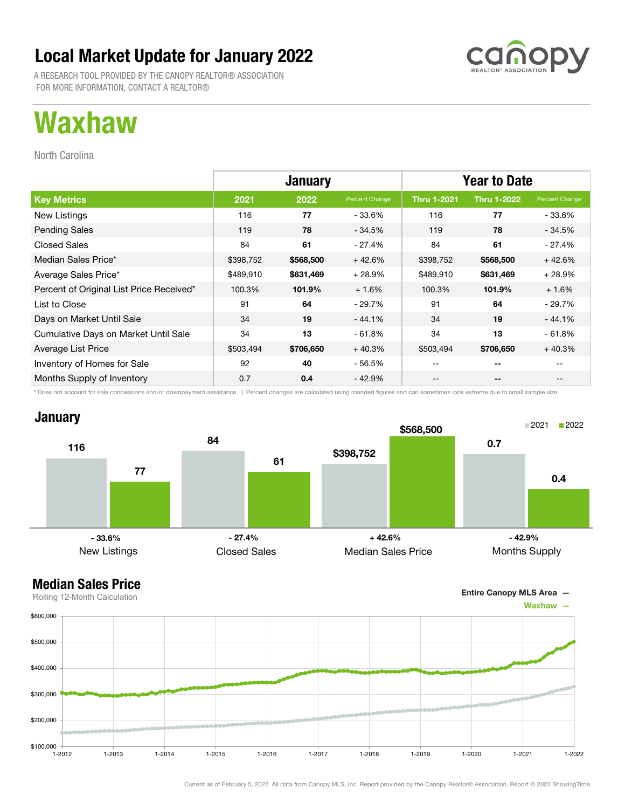A RESEARCH TOOL PROVIDED BY THE CANOPY REALTOR® ASSOCIATION FOR MORE INFORMATION, CONTACT A REALTOR®

## Waxhaw

North Carolina

|                                          | <b>January</b> |           |                | <b>Year to Date</b> |                    |                |
|------------------------------------------|----------------|-----------|----------------|---------------------|--------------------|----------------|
| <b>Key Metrics</b>                       | 2021           | 2022      | Percent Change | Thru 1-2021         | <b>Thru 1-2022</b> | Percent Change |
| New Listings                             | 116            | 77        | - 33.6%        | 116                 | 77                 | $-33.6%$       |
| <b>Pending Sales</b>                     | 119            | 78        | $-34.5%$       | 119                 | 78                 | $-34.5%$       |
| <b>Closed Sales</b>                      | 84             | 61        | - 27.4%        | 84                  | 61                 | - 27.4%        |
| Median Sales Price*                      | \$398,752      | \$568,500 | $+42.6%$       | \$398,752           | \$568,500          | $+42.6%$       |
| Average Sales Price*                     | \$489,910      | \$631,469 | $+28.9%$       | \$489,910           | \$631,469          | $+28.9%$       |
| Percent of Original List Price Received* | 100.3%         | 101.9%    | $+1.6%$        | 100.3%              | 101.9%             | $+1.6%$        |
| List to Close                            | 91             | 64        | $-29.7%$       | 91                  | 64                 | $-29.7%$       |
| Days on Market Until Sale                | 34             | 19        | $-44.1%$       | 34                  | 19                 | $-44.1%$       |
| Cumulative Days on Market Until Sale     | 34             | 13        | $-61.8%$       | 34                  | 13                 | $-61.8%$       |
| Average List Price                       | \$503,494      | \$706,650 | $+40.3%$       | \$503,494           | \$706,650          | $+40.3%$       |
| Inventory of Homes for Sale              | 92             | 40        | - 56.5%        | --                  | --                 |                |
| Months Supply of Inventory               | 0.7            | 0.4       | - 42.9%        | --                  | --                 |                |

\* Does not account for sale concessions and/or downpayment assistance. | Percent changes are calculated using rounded figures and can sometimes look extreme due to small sample size.

### **January**

![](_page_27_Figure_7.jpeg)

![](_page_27_Figure_9.jpeg)

![](_page_27_Figure_10.jpeg)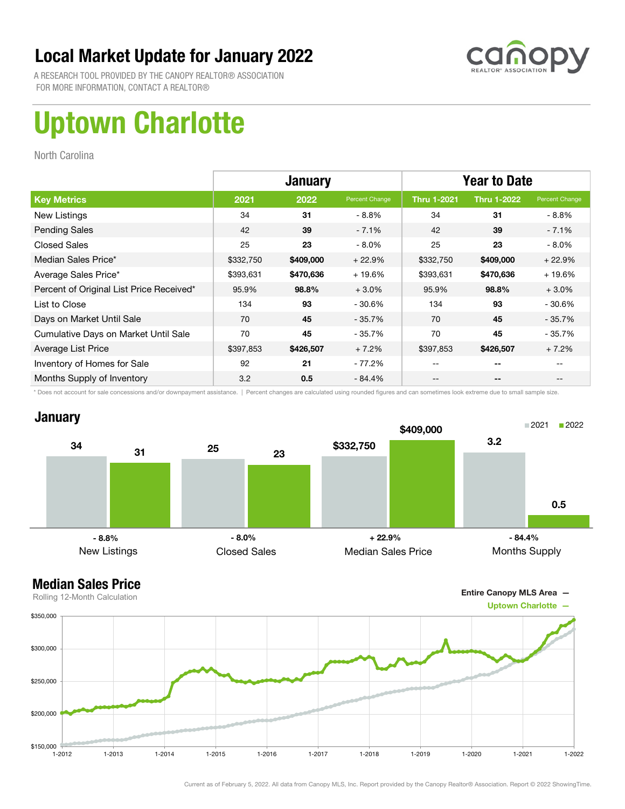![](_page_28_Picture_1.jpeg)

A RESEARCH TOOL PROVIDED BY THE CANOPY REALTOR® ASSOCIATION FOR MORE INFORMATION, CONTACT A REALTOR®

# Uptown Charlotte

North Carolina

|                                          | <b>January</b> |           |                | <b>Year to Date</b> |                    |                |
|------------------------------------------|----------------|-----------|----------------|---------------------|--------------------|----------------|
| <b>Key Metrics</b>                       | 2021           | 2022      | Percent Change | <b>Thru 1-2021</b>  | <b>Thru 1-2022</b> | Percent Change |
| New Listings                             | 34             | 31        | $-8.8\%$       | 34                  | 31                 | - 8.8%         |
| <b>Pending Sales</b>                     | 42             | 39        | $-7.1%$        | 42                  | 39                 | $-7.1\%$       |
| <b>Closed Sales</b>                      | 25             | 23        | $-8.0\%$       | 25                  | 23                 | $-8.0\%$       |
| Median Sales Price*                      | \$332,750      | \$409,000 | $+22.9%$       | \$332,750           | \$409,000          | $+22.9%$       |
| Average Sales Price*                     | \$393,631      | \$470,636 | $+19.6%$       | \$393,631           | \$470,636          | $+19.6%$       |
| Percent of Original List Price Received* | 95.9%          | 98.8%     | $+3.0%$        | 95.9%               | 98.8%              | $+3.0%$        |
| List to Close                            | 134            | 93        | $-30.6%$       | 134                 | 93                 | $-30.6%$       |
| Days on Market Until Sale                | 70             | 45        | $-35.7%$       | 70                  | 45                 | $-35.7\%$      |
| Cumulative Days on Market Until Sale     | 70             | 45        | $-35.7%$       | 70                  | 45                 | - 35.7%        |
| Average List Price                       | \$397,853      | \$426,507 | $+7.2%$        | \$397,853           | \$426,507          | $+7.2%$        |
| Inventory of Homes for Sale              | 92             | 21        | - 77.2%        |                     | --                 |                |
| Months Supply of Inventory               | 3.2            | 0.5       | $-84.4%$       | --                  | --                 |                |

\* Does not account for sale concessions and/or downpayment assistance. | Percent changes are calculated using rounded figures and can sometimes look extreme due to small sample size.

![](_page_28_Figure_7.jpeg)

![](_page_28_Figure_9.jpeg)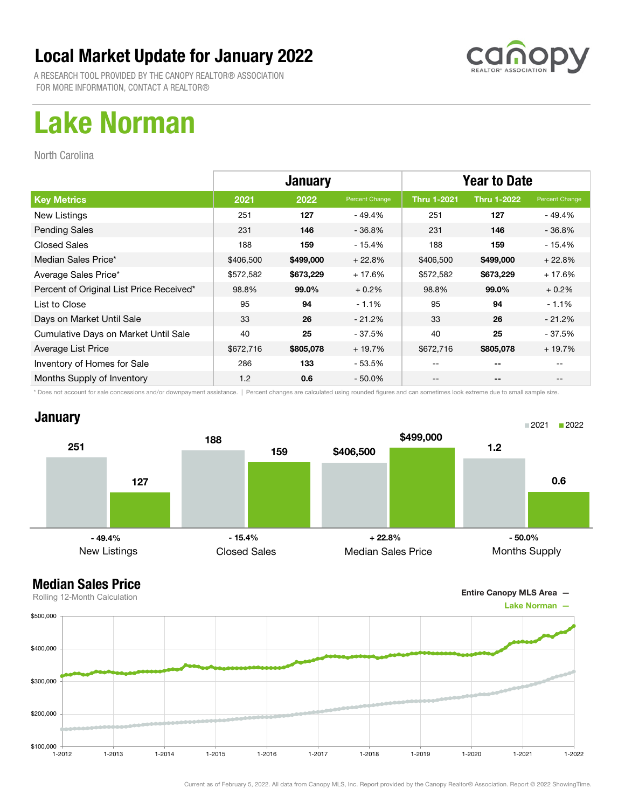![](_page_29_Picture_1.jpeg)

A RESEARCH TOOL PROVIDED BY THE CANOPY REALTOR® ASSOCIATION FOR MORE INFORMATION, CONTACT A REALTOR®

## Lake Norman

North Carolina

|                                          | <b>January</b> |           |                | <b>Year to Date</b> |                    |                |
|------------------------------------------|----------------|-----------|----------------|---------------------|--------------------|----------------|
| <b>Key Metrics</b>                       | 2021           | 2022      | Percent Change | <b>Thru 1-2021</b>  | <b>Thru 1-2022</b> | Percent Change |
| New Listings                             | 251            | 127       | - 49.4%        | 251                 | 127                | - 49.4%        |
| <b>Pending Sales</b>                     | 231            | 146       | $-36.8%$       | 231                 | 146                | $-36.8%$       |
| <b>Closed Sales</b>                      | 188            | 159       | $-15.4%$       | 188                 | 159                | $-15.4%$       |
| Median Sales Price*                      | \$406,500      | \$499,000 | $+22.8%$       | \$406,500           | \$499,000          | $+22.8%$       |
| Average Sales Price*                     | \$572,582      | \$673,229 | $+17.6%$       | \$572,582           | \$673,229          | $+17.6%$       |
| Percent of Original List Price Received* | 98.8%          | 99.0%     | $+0.2%$        | 98.8%               | 99.0%              | $+0.2%$        |
| List to Close                            | 95             | 94        | $-1.1%$        | 95                  | 94                 | $-1.1%$        |
| Days on Market Until Sale                | 33             | 26        | $-21.2%$       | 33                  | 26                 | $-21.2%$       |
| Cumulative Days on Market Until Sale     | 40             | 25        | - 37.5%        | 40                  | 25                 | - 37.5%        |
| Average List Price                       | \$672,716      | \$805,078 | $+19.7%$       | \$672,716           | \$805,078          | $+19.7%$       |
| Inventory of Homes for Sale              | 286            | 133       | - 53.5%        | --                  | --                 |                |
| Months Supply of Inventory               | 1.2            | 0.6       | $-50.0\%$      | --                  | --                 |                |

\* Does not account for sale concessions and/or downpayment assistance. | Percent changes are calculated using rounded figures and can sometimes look extreme due to small sample size.

#### **January**

![](_page_29_Figure_8.jpeg)

![](_page_29_Figure_10.jpeg)

![](_page_29_Figure_11.jpeg)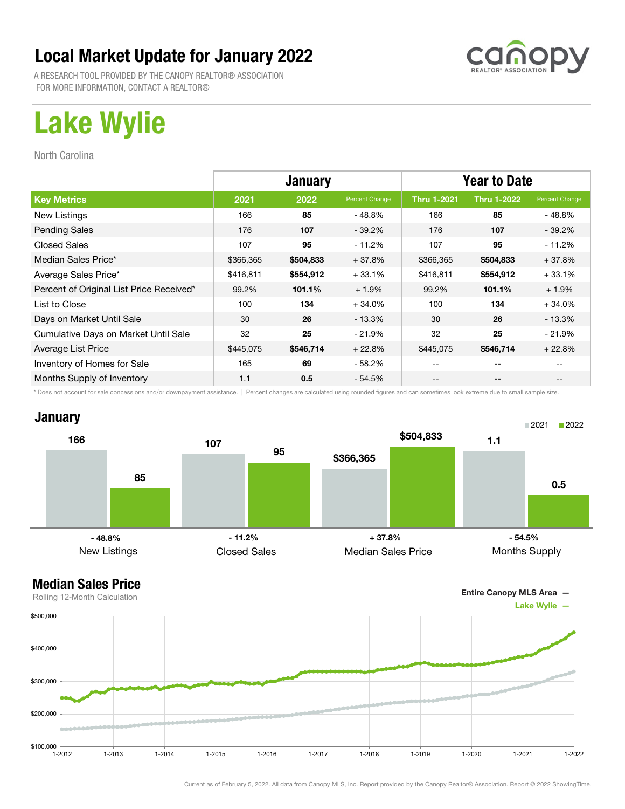![](_page_30_Picture_1.jpeg)

A RESEARCH TOOL PROVIDED BY THE CANOPY REALTOR® ASSOCIATION FOR MORE INFORMATION, CONTACT A REALTOR®

# Lake Wylie

North Carolina

|                                          | <b>January</b> |           |                | <b>Year to Date</b> |                    |                |
|------------------------------------------|----------------|-----------|----------------|---------------------|--------------------|----------------|
| <b>Key Metrics</b>                       | 2021           | 2022      | Percent Change | <b>Thru 1-2021</b>  | <b>Thru 1-2022</b> | Percent Change |
| New Listings                             | 166            | 85        | - 48.8%        | 166                 | 85                 | - 48.8%        |
| <b>Pending Sales</b>                     | 176            | 107       | $-39.2\%$      | 176                 | 107                | $-39.2\%$      |
| <b>Closed Sales</b>                      | 107            | 95        | - 11.2%        | 107                 | 95                 | - 11.2%        |
| Median Sales Price*                      | \$366,365      | \$504,833 | $+37.8%$       | \$366,365           | \$504,833          | $+37.8%$       |
| Average Sales Price*                     | \$416,811      | \$554,912 | $+33.1%$       | \$416,811           | \$554,912          | $+33.1%$       |
| Percent of Original List Price Received* | 99.2%          | 101.1%    | $+1.9%$        | 99.2%               | 101.1%             | $+1.9%$        |
| List to Close                            | 100            | 134       | $+34.0%$       | 100                 | 134                | $+34.0%$       |
| Days on Market Until Sale                | 30             | 26        | $-13.3\%$      | 30                  | 26                 | - 13.3%        |
| Cumulative Days on Market Until Sale     | 32             | 25        | $-21.9%$       | 32                  | 25                 | $-21.9\%$      |
| Average List Price                       | \$445,075      | \$546,714 | $+22.8%$       | \$445,075           | \$546,714          | $+22.8%$       |
| Inventory of Homes for Sale              | 165            | 69        | - 58.2%        | --                  | --                 |                |
| Months Supply of Inventory               | 1.1            | 0.5       | $-54.5%$       | --                  | --                 |                |

\* Does not account for sale concessions and/or downpayment assistance. | Percent changes are calculated using rounded figures and can sometimes look extreme due to small sample size.

### **January**

![](_page_30_Figure_8.jpeg)

![](_page_30_Figure_10.jpeg)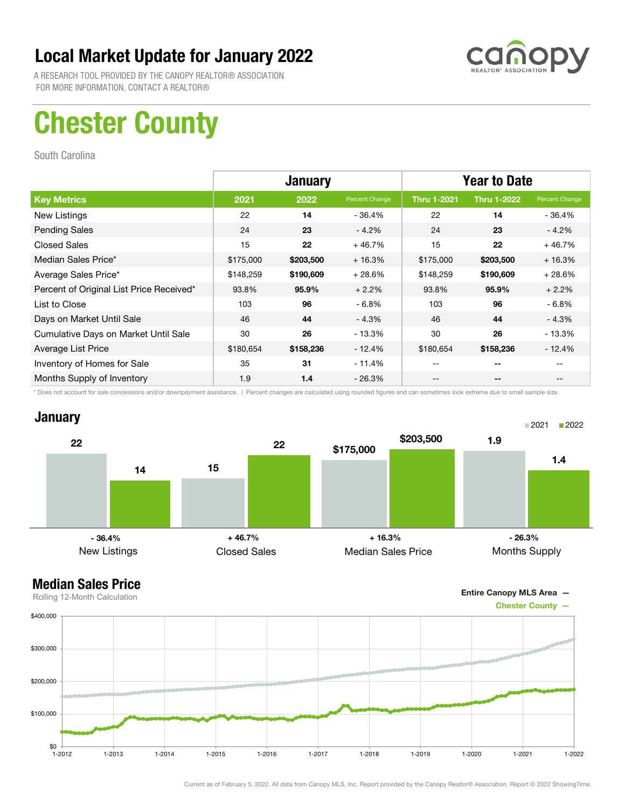![](_page_31_Picture_1.jpeg)

A RESEARCH TOOL PROVIDED BY THE CANOPY REALTOR® ASSOCIATION FOR MORE INFORMATION, CONTACT A REALTOR®

## Chester County

South Carolina

|                                          | <b>January</b> |           |                | <b>Year to Date</b> |                    |                |
|------------------------------------------|----------------|-----------|----------------|---------------------|--------------------|----------------|
| <b>Key Metrics</b>                       | 2021           | 2022      | Percent Change | <b>Thru 1-2021</b>  | <b>Thru 1-2022</b> | Percent Change |
| New Listings                             | 22             | 14        | $-36.4%$       | 22                  | 14                 | - 36.4%        |
| <b>Pending Sales</b>                     | 24             | 23        | $-4.2%$        | 24                  | 23                 | $-4.2%$        |
| <b>Closed Sales</b>                      | 15             | 22        | $+46.7%$       | 15                  | 22                 | $+46.7%$       |
| Median Sales Price*                      | \$175,000      | \$203,500 | $+16.3%$       | \$175,000           | \$203,500          | $+16.3%$       |
| Average Sales Price*                     | \$148,259      | \$190,609 | $+28.6%$       | \$148,259           | \$190,609          | $+28.6%$       |
| Percent of Original List Price Received* | 93.8%          | 95.9%     | $+2.2%$        | 93.8%               | 95.9%              | $+2.2%$        |
| List to Close                            | 103            | 96        | $-6.8%$        | 103                 | 96                 | $-6.8%$        |
| Days on Market Until Sale                | 46             | 44        | $-4.3%$        | 46                  | 44                 | $-4.3%$        |
| Cumulative Days on Market Until Sale     | 30             | 26        | $-13.3%$       | 30                  | 26                 | $-13.3\%$      |
| Average List Price                       | \$180,654      | \$158,236 | $-12.4%$       | \$180,654           | \$158,236          | $-12.4%$       |
| Inventory of Homes for Sale              | 35             | 31        | $-11.4%$       |                     | --                 |                |
| Months Supply of Inventory               | 1.9            | 1.4       | - 26.3%        | --                  | --                 |                |

\* Does not account for sale concessions and/or downpayment assistance. | Percent changes are calculated using rounded figures and can sometimes look extreme due to small sample size.

### **January**

![](_page_31_Figure_8.jpeg)

![](_page_31_Figure_10.jpeg)

![](_page_31_Figure_11.jpeg)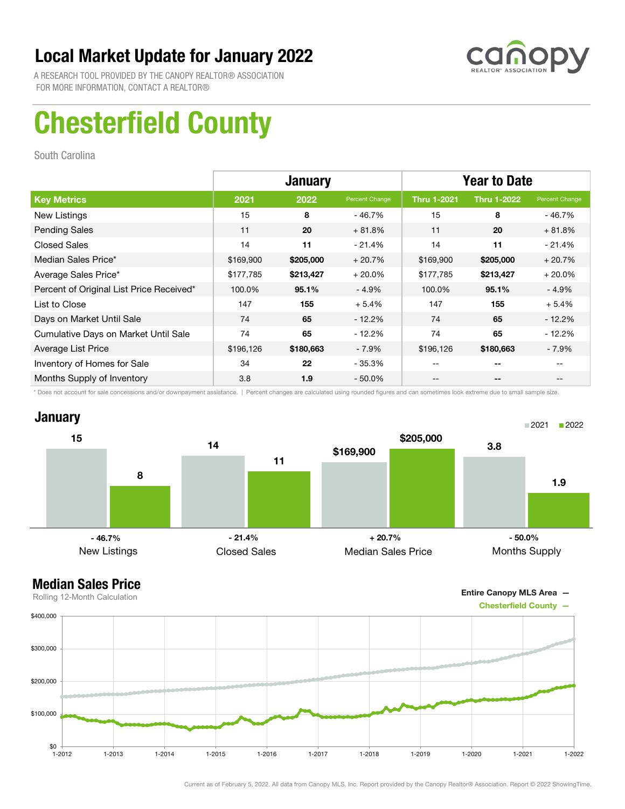![](_page_32_Picture_1.jpeg)

A RESEARCH TOOL PROVIDED BY THE CANOPY REALTOR® ASSOCIATION FOR MORE INFORMATION, CONTACT A REALTOR®

# Chesterfield County

South Carolina

|                                          | <b>January</b> |           |                | <b>Year to Date</b> |                    |                |
|------------------------------------------|----------------|-----------|----------------|---------------------|--------------------|----------------|
| <b>Key Metrics</b>                       | 2021           | 2022      | Percent Change | <b>Thru 1-2021</b>  | <b>Thru 1-2022</b> | Percent Change |
| New Listings                             | 15             | 8         | - 46.7%        | 15                  | 8                  | - 46.7%        |
| <b>Pending Sales</b>                     | 11             | 20        | $+81.8%$       | 11                  | 20                 | $+81.8%$       |
| <b>Closed Sales</b>                      | 14             | 11        | $-21.4%$       | 14                  | 11                 | $-21.4%$       |
| Median Sales Price*                      | \$169,900      | \$205,000 | $+20.7%$       | \$169,900           | \$205,000          | $+20.7%$       |
| Average Sales Price*                     | \$177,785      | \$213,427 | $+20.0%$       | \$177,785           | \$213,427          | $+20.0%$       |
| Percent of Original List Price Received* | 100.0%         | 95.1%     | $-4.9%$        | 100.0%              | 95.1%              | $-4.9%$        |
| List to Close                            | 147            | 155       | $+5.4%$        | 147                 | 155                | $+5.4%$        |
| Days on Market Until Sale                | 74             | 65        | $-12.2%$       | 74                  | 65                 | $-12.2\%$      |
| Cumulative Days on Market Until Sale     | 74             | 65        | $-12.2%$       | 74                  | 65                 | $-12.2%$       |
| Average List Price                       | \$196,126      | \$180,663 | $-7.9\%$       | \$196,126           | \$180,663          | - 7.9%         |
| Inventory of Homes for Sale              | 34             | 22        | $-35.3%$       | --                  | --                 |                |
| Months Supply of Inventory               | 3.8            | 1.9       | $-50.0\%$      | --                  | --                 |                |

\* Does not account for sale concessions and/or downpayment assistance. | Percent changes are calculated using rounded figures and can sometimes look extreme due to small sample size.

![](_page_32_Figure_7.jpeg)

![](_page_32_Figure_9.jpeg)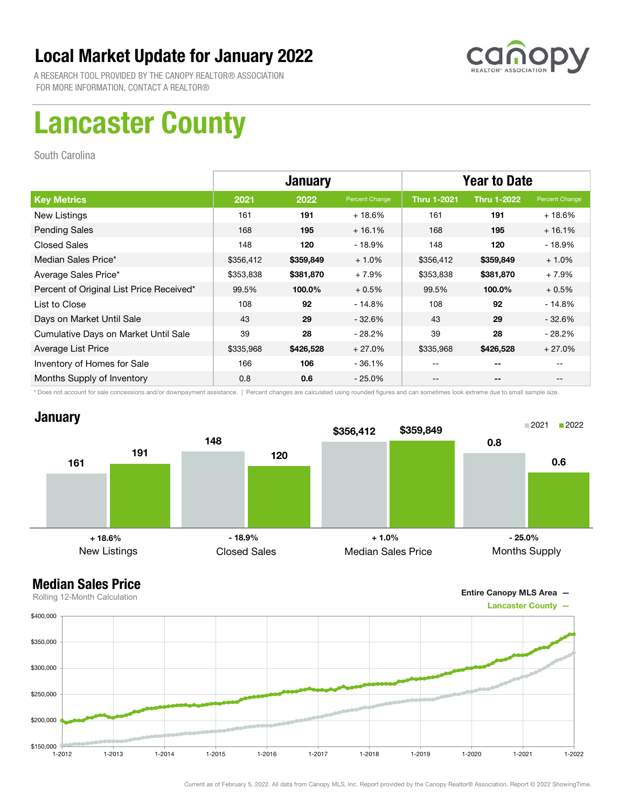![](_page_33_Picture_1.jpeg)

A RESEARCH TOOL PROVIDED BY THE CANOPY REALTOR® ASSOCIATION FOR MORE INFORMATION, CONTACT A REALTOR®

# Lancaster County

South Carolina

|                                          | <b>January</b> |           |                | <b>Year to Date</b> |                    |                |
|------------------------------------------|----------------|-----------|----------------|---------------------|--------------------|----------------|
| <b>Key Metrics</b>                       | 2021           | 2022      | Percent Change | <b>Thru 1-2021</b>  | <b>Thru 1-2022</b> | Percent Change |
| New Listings                             | 161            | 191       | $+18.6%$       | 161                 | 191                | $+18.6%$       |
| <b>Pending Sales</b>                     | 168            | 195       | $+16.1%$       | 168                 | 195                | $+16.1%$       |
| <b>Closed Sales</b>                      | 148            | 120       | $-18.9%$       | 148                 | 120                | $-18.9%$       |
| Median Sales Price*                      | \$356,412      | \$359,849 | $+1.0%$        | \$356,412           | \$359,849          | $+1.0%$        |
| Average Sales Price*                     | \$353,838      | \$381,870 | $+7.9%$        | \$353,838           | \$381,870          | $+7.9%$        |
| Percent of Original List Price Received* | 99.5%          | 100.0%    | $+0.5%$        | 99.5%               | 100.0%             | $+0.5%$        |
| List to Close                            | 108            | 92        | $-14.8%$       | 108                 | 92                 | $-14.8%$       |
| Days on Market Until Sale                | 43             | 29        | $-32.6%$       | 43                  | 29                 | $-32.6\%$      |
| Cumulative Days on Market Until Sale     | 39             | 28        | $-28.2\%$      | 39                  | 28                 | $-28.2\%$      |
| Average List Price                       | \$335,968      | \$426,528 | $+27.0%$       | \$335,968           | \$426,528          | $+27.0%$       |
| Inventory of Homes for Sale              | 166            | 106       | $-36.1%$       | --                  | --                 |                |
| Months Supply of Inventory               | 0.8            | 0.6       | $-25.0\%$      | --                  | --                 |                |

\* Does not account for sale concessions and/or downpayment assistance. | Percent changes are calculated using rounded figures and can sometimes look extreme due to small sample size.

### **January**

![](_page_33_Figure_8.jpeg)

### Median Sales Price

![](_page_33_Figure_10.jpeg)

Current as of February 5, 2022. All data from Canopy MLS, Inc. Report provided by the Canopy Realtor® Association. Report © 2022 ShowingTime.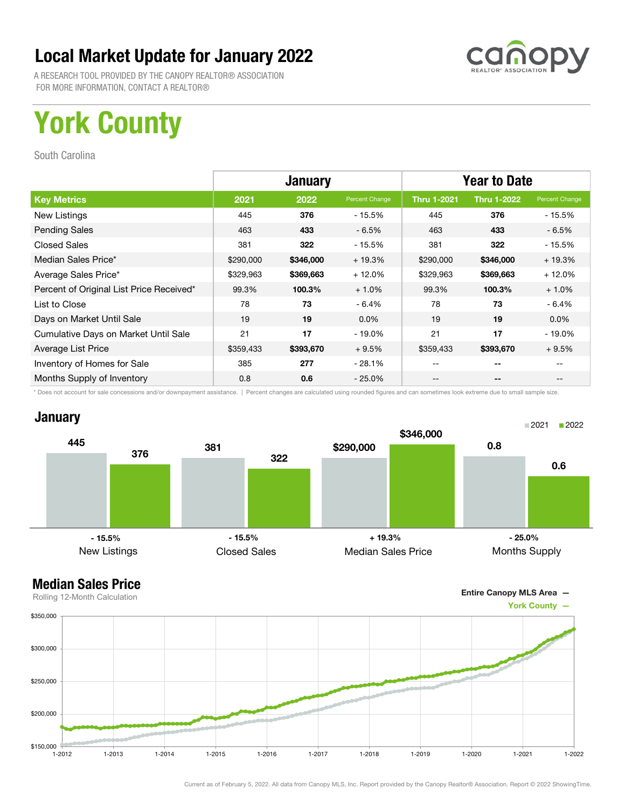![](_page_34_Picture_1.jpeg)

A RESEARCH TOOL PROVIDED BY THE CANOPY REALTOR® ASSOCIATION FOR MORE INFORMATION, CONTACT A REALTOR®

# York County

South Carolina

|                                          | <b>January</b> |           |                | <b>Year to Date</b> |                    |                |
|------------------------------------------|----------------|-----------|----------------|---------------------|--------------------|----------------|
| <b>Key Metrics</b>                       | 2021           | 2022      | Percent Change | <b>Thru 1-2021</b>  | <b>Thru 1-2022</b> | Percent Change |
| New Listings                             | 445            | 376       | - 15.5%        | 445                 | 376                | - 15.5%        |
| <b>Pending Sales</b>                     | 463            | 433       | $-6.5%$        | 463                 | 433                | - 6.5%         |
| <b>Closed Sales</b>                      | 381            | 322       | - 15.5%        | 381                 | 322                | $-15.5%$       |
| Median Sales Price*                      | \$290,000      | \$346,000 | $+19.3%$       | \$290,000           | \$346,000          | $+19.3%$       |
| Average Sales Price*                     | \$329,963      | \$369,663 | $+12.0%$       | \$329,963           | \$369,663          | $+12.0%$       |
| Percent of Original List Price Received* | 99.3%          | 100.3%    | $+1.0%$        | 99.3%               | 100.3%             | $+1.0%$        |
| List to Close                            | 78             | 73        | $-6.4%$        | 78                  | 73                 | $-6.4%$        |
| Days on Market Until Sale                | 19             | 19        | $0.0\%$        | 19                  | 19                 | $0.0\%$        |
| Cumulative Days on Market Until Sale     | 21             | 17        | $-19.0\%$      | 21                  | 17                 | $-19.0\%$      |
| Average List Price                       | \$359,433      | \$393,670 | $+9.5%$        | \$359,433           | \$393,670          | $+9.5%$        |
| Inventory of Homes for Sale              | 385            | 277       | - 28.1%        |                     | --                 |                |
| Months Supply of Inventory               | 0.8            | 0.6       | $-25.0\%$      | --                  | --                 |                |

\* Does not account for sale concessions and/or downpayment assistance. | Percent changes are calculated using rounded figures and can sometimes look extreme due to small sample size.

### **January**

![](_page_34_Figure_8.jpeg)

![](_page_34_Figure_10.jpeg)

![](_page_34_Figure_11.jpeg)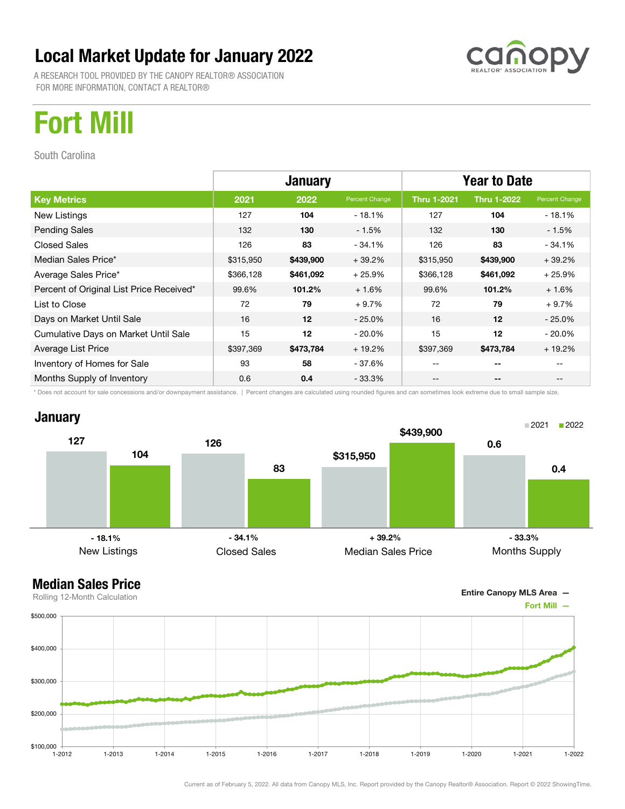A RESEARCH TOOL PROVIDED BY THE CANOPY REALTOR® ASSOCIATION FOR MORE INFORMATION, CONTACT A REALTOR®

![](_page_35_Picture_2.jpeg)

## Fort Mill

South Carolina

|                                          | <b>January</b> |           |                | <b>Year to Date</b> |                    |                |
|------------------------------------------|----------------|-----------|----------------|---------------------|--------------------|----------------|
| <b>Key Metrics</b>                       | 2021           | 2022      | Percent Change | <b>Thru 1-2021</b>  | <b>Thru 1-2022</b> | Percent Change |
| New Listings                             | 127            | 104       | - 18.1%        | 127                 | 104                | $-18.1%$       |
| <b>Pending Sales</b>                     | 132            | 130       | $-1.5%$        | 132                 | 130                | - 1.5%         |
| <b>Closed Sales</b>                      | 126            | 83        | $-34.1%$       | 126                 | 83                 | $-34.1%$       |
| Median Sales Price*                      | \$315,950      | \$439,900 | $+39.2%$       | \$315,950           | \$439,900          | $+39.2%$       |
| Average Sales Price*                     | \$366,128      | \$461,092 | $+25.9%$       | \$366,128           | \$461,092          | $+25.9%$       |
| Percent of Original List Price Received* | 99.6%          | 101.2%    | $+1.6%$        | 99.6%               | 101.2%             | $+1.6%$        |
| List to Close                            | 72             | 79        | $+9.7%$        | 72                  | 79                 | $+9.7%$        |
| Days on Market Until Sale                | 16             | 12        | $-25.0\%$      | 16                  | 12                 | $-25.0\%$      |
| Cumulative Days on Market Until Sale     | 15             | 12        | $-20.0\%$      | 15                  | 12                 | $-20.0\%$      |
| Average List Price                       | \$397,369      | \$473,784 | $+19.2%$       | \$397,369           | \$473,784          | $+19.2%$       |
| Inventory of Homes for Sale              | 93             | 58        | - 37.6%        | --                  | --                 |                |
| Months Supply of Inventory               | 0.6            | 0.4       | - 33.3%        | --                  | --                 |                |

\* Does not account for sale concessions and/or downpayment assistance. | Percent changes are calculated using rounded figures and can sometimes look extreme due to small sample size.

![](_page_35_Figure_7.jpeg)

![](_page_35_Figure_8.jpeg)

![](_page_35_Figure_10.jpeg)

![](_page_35_Figure_11.jpeg)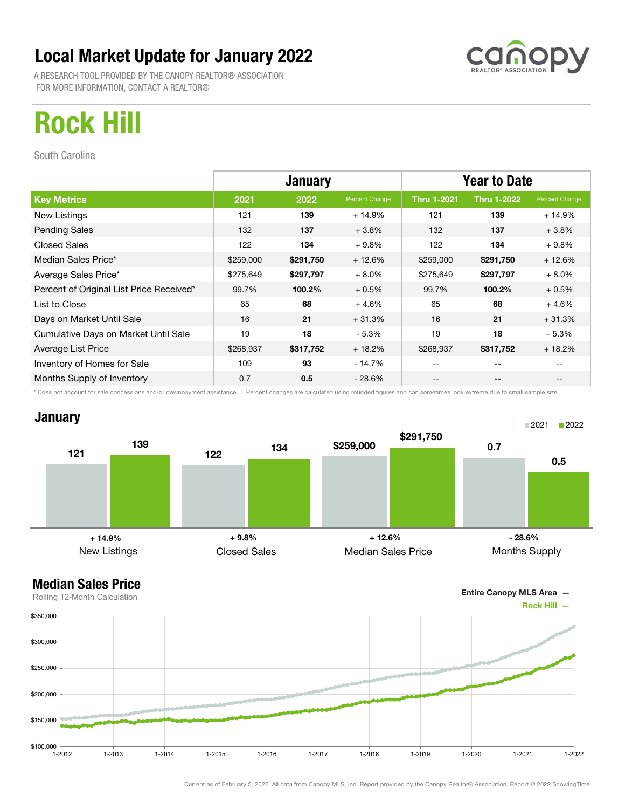A RESEARCH TOOL PROVIDED BY THE CANOPY REALTOR® ASSOCIATION FOR MORE INFORMATION, CONTACT A REALTOR®

![](_page_36_Picture_2.jpeg)

## Rock Hill

South Carolina

|                                          | <b>January</b> |           |                | <b>Year to Date</b> |                    |                |
|------------------------------------------|----------------|-----------|----------------|---------------------|--------------------|----------------|
| <b>Key Metrics</b>                       | 2021           | 2022      | Percent Change | <b>Thru 1-2021</b>  | <b>Thru 1-2022</b> | Percent Change |
| New Listings                             | 121            | 139       | $+14.9%$       | 121                 | 139                | $+14.9%$       |
| <b>Pending Sales</b>                     | 132            | 137       | $+3.8%$        | 132                 | 137                | $+3.8%$        |
| <b>Closed Sales</b>                      | 122            | 134       | $+9.8%$        | 122                 | 134                | $+9.8%$        |
| Median Sales Price*                      | \$259,000      | \$291,750 | $+12.6%$       | \$259,000           | \$291,750          | $+12.6%$       |
| Average Sales Price*                     | \$275,649      | \$297,797 | $+8.0%$        | \$275,649           | \$297,797          | $+8.0%$        |
| Percent of Original List Price Received* | 99.7%          | 100.2%    | $+0.5%$        | 99.7%               | 100.2%             | $+0.5%$        |
| List to Close                            | 65             | 68        | $+4.6%$        | 65                  | 68                 | $+4.6%$        |
| Days on Market Until Sale                | 16             | 21        | $+31.3%$       | 16                  | 21                 | $+31.3%$       |
| Cumulative Days on Market Until Sale     | 19             | 18        | $-5.3%$        | 19                  | 18                 | - 5.3%         |
| Average List Price                       | \$268,937      | \$317,752 | $+18.2%$       | \$268,937           | \$317,752          | $+18.2%$       |
| Inventory of Homes for Sale              | 109            | 93        | - 14.7%        | --                  | --                 |                |
| Months Supply of Inventory               | 0.7            | 0.5       | - 28.6%        | --                  | --                 |                |

\* Does not account for sale concessions and/or downpayment assistance. | Percent changes are calculated using rounded figures and can sometimes look extreme due to small sample size.

### **January**

![](_page_36_Figure_8.jpeg)

![](_page_36_Figure_10.jpeg)

![](_page_36_Figure_11.jpeg)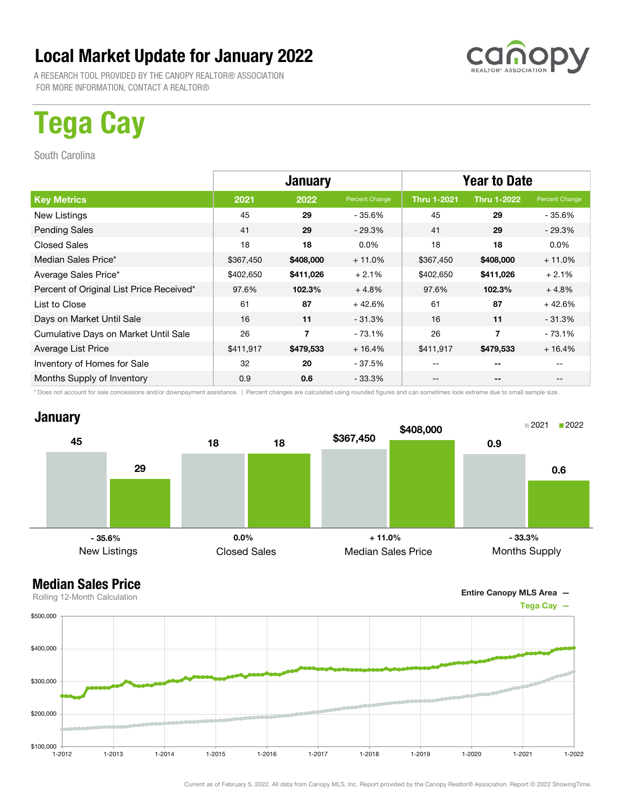A RESEARCH TOOL PROVIDED BY THE CANOPY REALTOR® ASSOCIATION FOR MORE INFORMATION, CONTACT A REALTOR®

# Tega Cay

South Carolina

|                                          | <b>January</b> |                |                | <b>Year to Date</b> |                    |                |
|------------------------------------------|----------------|----------------|----------------|---------------------|--------------------|----------------|
| <b>Key Metrics</b>                       | 2021           | 2022           | Percent Change | <b>Thru 1-2021</b>  | <b>Thru 1-2022</b> | Percent Change |
| New Listings                             | 45             | 29             | - 35.6%        | 45                  | 29                 | - 35.6%        |
| <b>Pending Sales</b>                     | 41             | 29             | $-29.3%$       | 41                  | 29                 | $-29.3%$       |
| <b>Closed Sales</b>                      | 18             | 18             | $0.0\%$        | 18                  | 18                 | $0.0\%$        |
| Median Sales Price*                      | \$367,450      | \$408,000      | $+11.0%$       | \$367,450           | \$408,000          | $+11.0%$       |
| Average Sales Price*                     | \$402,650      | \$411,026      | $+2.1%$        | \$402,650           | \$411,026          | $+2.1%$        |
| Percent of Original List Price Received* | 97.6%          | 102.3%         | $+4.8%$        | 97.6%               | 102.3%             | $+4.8%$        |
| List to Close                            | 61             | 87             | $+42.6%$       | 61                  | 87                 | $+42.6%$       |
| Days on Market Until Sale                | 16             | 11             | $-31.3%$       | 16                  | 11                 | $-31.3%$       |
| Cumulative Days on Market Until Sale     | 26             | $\overline{7}$ | $-73.1%$       | 26                  | 7                  | $-73.1\%$      |
| Average List Price                       | \$411,917      | \$479,533      | $+16.4%$       | \$411,917           | \$479,533          | $+16.4%$       |
| Inventory of Homes for Sale              | 32             | 20             | $-37.5%$       |                     | --                 |                |
| Months Supply of Inventory               | 0.9            | 0.6            | $-33.3%$       | --                  | --                 |                |

\* Does not account for sale concessions and/or downpayment assistance. | Percent changes are calculated using rounded figures and can sometimes look extreme due to small sample size.

### **January**

![](_page_37_Figure_8.jpeg)

![](_page_37_Figure_10.jpeg)

![](_page_37_Figure_11.jpeg)